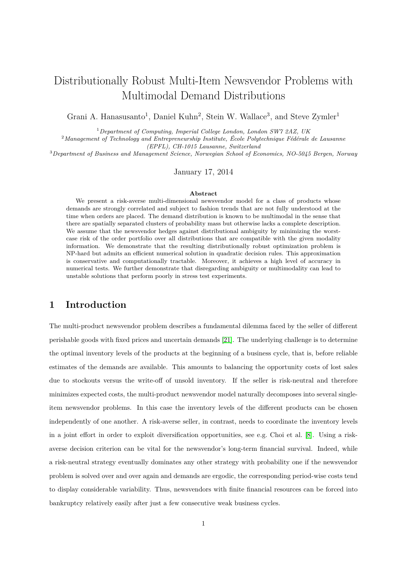# Distributionally Robust Multi-Item Newsvendor Problems with Multimodal Demand Distributions

Grani A. Hanasusanto<sup>1</sup>, Daniel Kuhn<sup>2</sup>, Stein W. Wallace<sup>3</sup>, and Steve Zymler<sup>1</sup>

<sup>1</sup>*Department of Computing, Imperial College London, London SW7 2AZ, UK*

<sup>2</sup>*Management of Technology and Entrepreneurship Institute, École Polytechnique Fédérale de Lausanne (EPFL), CH-1015 Lausanne, Switzerland*

<sup>3</sup>*Department of Business and Management Science, Norwegian School of Economics, NO-5045 Bergen, Norway*

January 17, 2014

#### **Abstract**

We present a risk-averse multi-dimensional newsvendor model for a class of products whose demands are strongly correlated and subject to fashion trends that are not fully understood at the time when orders are placed. The demand distribution is known to be multimodal in the sense that there are spatially separated clusters of probability mass but otherwise lacks a complete description. We assume that the newsvendor hedges against distributional ambiguity by minimizing the worstcase risk of the order portfolio over all distributions that are compatible with the given modality information. We demonstrate that the resulting distributionally robust optimization problem is NP-hard but admits an efficient numerical solution in quadratic decision rules. This approximation is conservative and computationally tractable. Moreover, it achieves a high level of accuracy in numerical tests. We further demonstrate that disregarding ambiguity or multimodality can lead to unstable solutions that perform poorly in stress test experiments.

## **1 Introduction**

The multi-product newsvendor problem describes a fundamental dilemma faced by the seller of different perishable goods with fixed prices and uncertain demands [\[21\]](#page-28-0). The underlying challenge is to determine the optimal inventory levels of the products at the beginning of a business cycle, that is, before reliable estimates of the demands are available. This amounts to balancing the opportunity costs of lost sales due to stockouts versus the write-off of unsold inventory. If the seller is risk-neutral and therefore minimizes expected costs, the multi-product newsvendor model naturally decomposes into several singleitem newsvendor problems. In this case the inventory levels of the different products can be chosen independently of one another. A risk-averse seller, in contrast, needs to coordinate the inventory levels in a joint effort in order to exploit diversification opportunities, see e.g. Choi et al. [\[8\]](#page-27-0). Using a riskaverse decision criterion can be vital for the newsvendor's long-term financial survival. Indeed, while a risk-neutral strategy eventually dominates any other strategy with probability one if the newsvendor problem is solved over and over again and demands are ergodic, the corresponding period-wise costs tend to display considerable variability. Thus, newsvendors with finite financial resources can be forced into bankruptcy relatively easily after just a few consecutive weak business cycles.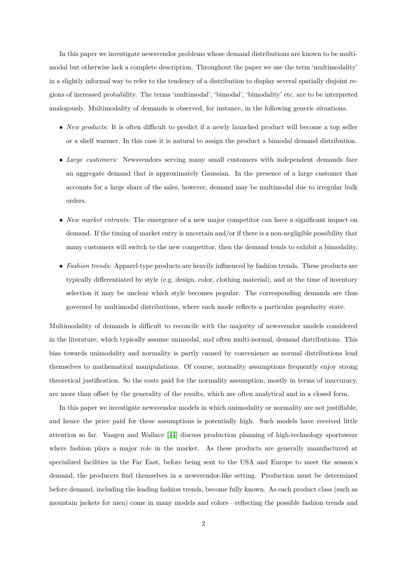In this paper we investigate newsvendor problems whose demand distributions are known to be multimodal but otherwise lack a complete description. Throughout the paper we use the term 'multimodality' in a slightly informal way to refer to the tendency of a distribution to display several spatially disjoint regions of increased probability. The terms 'multimodal', 'bimodal', 'bimodality' etc. are to be interpreted analogously. Multimodality of demands is observed, for instance, in the following generic situations.

- *New products:* It is often difficult to predict if a newly launched product will become a top seller or a shelf warmer. In this case it is natural to assign the product a bimodal demand distribution.
- *Large customers:* Newsvendors serving many small customers with independent demands face an aggregate demand that is approximately Gaussian. In the presence of a large customer that accounts for a large share of the sales, however, demand may be multimodal due to irregular bulk orders.
- *New market entrants:* The emergence of a new major competitor can have a significant impact on demand. If the timing of market entry is uncertain and/or if there is a non-negligible possibility that many customers will switch to the new competitor, then the demand tends to exhibit a bimodality.
- *Fashion trends:* Apparel-type products are heavily influenced by fashion trends. These products are typically differentiated by style (e.g. design, color, clothing material), and at the time of inventory selection it may be unclear which style becomes popular. The corresponding demands are thus governed by multimodal distributions, where each mode reflects a particular popularity state.

Multimodality of demands is difficult to reconcile with the majority of newsvendor models considered in the literature, which typically assume unimodal, and often multi-normal, demand distributions. This bias towards unimodality and normality is partly caused by convenience as normal distributions lend themselves to mathematical manipulations. Of course, normality assumptions frequently enjoy strong theoretical justification. So the costs paid for the normality assumption, mostly in terms of inaccuracy, are more than offset by the generality of the results, which are often analytical and in a closed form.

In this paper we investigate newsvendor models in which unimodality or normality are not justifiable, and hence the price paid for these assumptions is potentially high. Such models have received little attention so far. Vaagen and Wallace [\[44\]](#page-30-0) discuss production planning of high-technology sportswear where fashion plays a major role in the market. As these products are generally manufactured at specialized facilities in the Far East, before being sent to the USA and Europe to meet the season's demand, the producers find themselves in a newsvendor-like setting. Production must be determined before demand, including the leading fashion trends, become fully known. As each product class (such as mountain jackets for men) come in many models and colors—reflecting the possible fashion trends and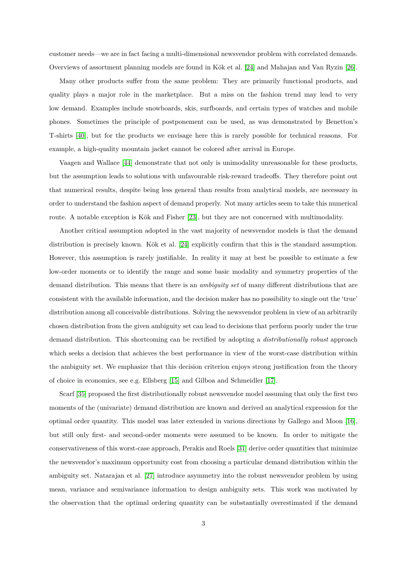customer needs—we are in fact facing a multi-dimensional newsvendor problem with correlated demands. Overviews of assortment planning models are found in Kök et al. [\[24\]](#page-29-0) and Mahajan and Van Ryzin [\[26\]](#page-29-1).

Many other products suffer from the same problem: They are primarily functional products, and quality plays a major role in the marketplace. But a miss on the fashion trend may lead to very low demand. Examples include snowboards, skis, surfboards, and certain types of watches and mobile phones. Sometimes the principle of postponement can be used, as was demonstrated by Benetton's T-shirts [\[40\]](#page-30-1), but for the products we envisage here this is rarely possible for technical reasons. For example, a high-quality mountain jacket cannot be colored after arrival in Europe.

Vaagen and Wallace [\[44\]](#page-30-0) demonstrate that not only is unimodality unreasonable for these products, but the assumption leads to solutions with unfavourable risk-reward tradeoffs. They therefore point out that numerical results, despite being less general than results from analytical models, are necessary in order to understand the fashion aspect of demand properly. Not many articles seem to take this numerical route. A notable exception is Kök and Fisher [\[23\]](#page-29-2), but they are not concerned with multimodality.

Another critical assumption adopted in the vast majority of newsvendor models is that the demand distribution is precisely known. Kök et al. [\[24\]](#page-29-0) explicitly confirm that this is the standard assumption. However, this assumption is rarely justifiable. In reality it may at best be possible to estimate a few low-order moments or to identify the range and some basic modality and symmetry properties of the demand distribution. This means that there is an *ambiguity set* of many different distributions that are consistent with the available information, and the decision maker has no possibility to single out the 'true' distribution among all conceivable distributions. Solving the newsvendor problem in view of an arbitrarily chosen distribution from the given ambiguity set can lead to decisions that perform poorly under the true demand distribution. This shortcoming can be rectified by adopting a *distributionally robust* approach which seeks a decision that achieves the best performance in view of the worst-case distribution within the ambiguity set. We emphasize that this decision criterion enjoys strong justification from the theory of choice in economics, see e.g. Ellsberg [\[15\]](#page-28-1) and Gilboa and Schmeidler [\[17\]](#page-28-2).

Scarf [\[35\]](#page-29-3) proposed the first distributionally robust newsvendor model assuming that only the first two moments of the (univariate) demand distribution are known and derived an analytical expression for the optimal order quantity. This model was later extended in various directions by Gallego and Moon [\[16\]](#page-28-3), but still only first- and second-order moments were assumed to be known. In order to mitigate the conservativeness of this worst-case approach, Perakis and Roels [\[31\]](#page-29-4) derive order quantities that minimize the newsvendor's maximum opportunity cost from choosing a particular demand distribution within the ambiguity set. Natarajan et al. [\[27\]](#page-29-5) introduce asymmetry into the robust newsvendor problem by using mean, variance and semivariance information to design ambiguity sets. This work was motivated by the observation that the optimal ordering quantity can be substantially overestimated if the demand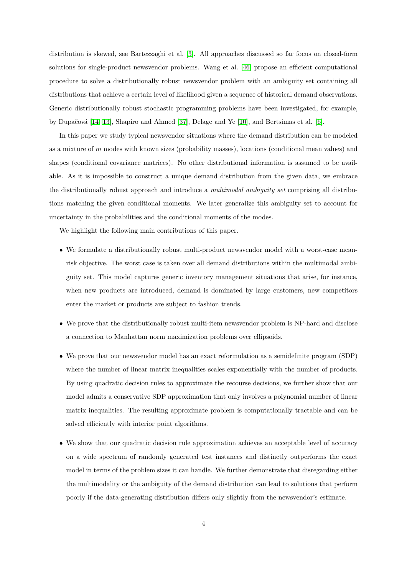distribution is skewed, see Bartezzaghi et al. [\[3\]](#page-27-1). All approaches discussed so far focus on closed-form solutions for single-product newsvendor problems. Wang et al. [\[46\]](#page-30-2) propose an efficient computational procedure to solve a distributionally robust newsvendor problem with an ambiguity set containing all distributions that achieve a certain level of likelihood given a sequence of historical demand observations. Generic distributionally robust stochastic programming problems have been investigated, for example, by Dupačová [\[14,](#page-28-4) [13\]](#page-28-5), Shapiro and Ahmed [\[37\]](#page-30-3), Delage and Ye [\[10\]](#page-28-6), and Bertsimas et al. [\[6\]](#page-27-2).

In this paper we study typical newsvendor situations where the demand distribution can be modeled as a mixture of *m* modes with known sizes (probability masses), locations (conditional mean values) and shapes (conditional covariance matrices). No other distributional information is assumed to be available. As it is impossible to construct a unique demand distribution from the given data, we embrace the distributionally robust approach and introduce a *multimodal ambiguity set* comprising all distributions matching the given conditional moments. We later generalize this ambiguity set to account for uncertainty in the probabilities and the conditional moments of the modes.

We highlight the following main contributions of this paper.

- We formulate a distributionally robust multi-product newsvendor model with a worst-case meanrisk objective. The worst case is taken over all demand distributions within the multimodal ambiguity set. This model captures generic inventory management situations that arise, for instance, when new products are introduced, demand is dominated by large customers, new competitors enter the market or products are subject to fashion trends.
- We prove that the distributionally robust multi-item newsvendor problem is NP-hard and disclose a connection to Manhattan norm maximization problems over ellipsoids.
- We prove that our newsvendor model has an exact reformulation as a semidefinite program (SDP) where the number of linear matrix inequalities scales exponentially with the number of products. By using quadratic decision rules to approximate the recourse decisions, we further show that our model admits a conservative SDP approximation that only involves a polynomial number of linear matrix inequalities. The resulting approximate problem is computationally tractable and can be solved efficiently with interior point algorithms.
- We show that our quadratic decision rule approximation achieves an acceptable level of accuracy on a wide spectrum of randomly generated test instances and distinctly outperforms the exact model in terms of the problem sizes it can handle. We further demonstrate that disregarding either the multimodality or the ambiguity of the demand distribution can lead to solutions that perform poorly if the data-generating distribution differs only slightly from the newsvendor's estimate.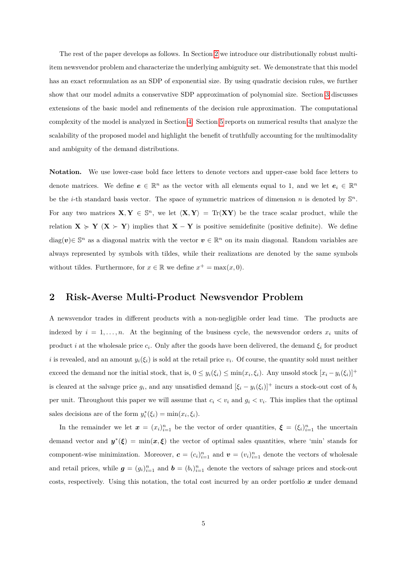The rest of the paper develops as follows. In Section [2](#page-4-0) we introduce our distributionally robust multiitem newsvendor problem and characterize the underlying ambiguity set. We demonstrate that this model has an exact reformulation as an SDP of exponential size. By using quadratic decision rules, we further show that our model admits a conservative SDP approximation of polynomial size. Section [3](#page-14-0) discusses extensions of the basic model and refinements of the decision rule approximation. The computational complexity of the model is analyzed in Section [4.](#page-18-0) Section [5](#page-22-0) reports on numerical results that analyze the scalability of the proposed model and highlight the benefit of truthfully accounting for the multimodality and ambiguity of the demand distributions.

**Notation.** We use lower-case bold face letters to denote vectors and upper-case bold face letters to denote matrices. We define  $e \in \mathbb{R}^n$  as the vector with all elements equal to 1, and we let  $e_i \in \mathbb{R}^n$ be the *i*-th standard basis vector. The space of symmetric matrices of dimension *n* is denoted by  $\mathbb{S}^n$ . For any two matrices  $X, Y \in \mathbb{S}^n$ , we let  $\langle X, Y \rangle = \text{Tr}(XY)$  be the trace scalar product, while the relation  $X \ge Y$  ( $X > Y$ ) implies that  $X - Y$  is positive semidefinite (positive definite). We define diag(v)∈ S<sup>n</sup> as a diagonal matrix with the vector  $v \in \mathbb{R}^n$  on its main diagonal. Random variables are always represented by symbols with tildes, while their realizations are denoted by the same symbols without tildes. Furthermore, for  $x \in \mathbb{R}$  we define  $x^+ = \max(x, 0)$ .

## <span id="page-4-0"></span>**2 Risk-Averse Multi-Product Newsvendor Problem**

A newsvendor trades in different products with a non-negligible order lead time. The products are indexed by  $i = 1, \ldots, n$ . At the beginning of the business cycle, the newsvendor orders  $x_i$  units of product *i* at the wholesale price  $c_i$ . Only after the goods have been delivered, the demand  $\xi_i$  for product *i* is revealed, and an amount  $y_i(\xi_i)$  is sold at the retail price  $v_i$ . Of course, the quantity sold must neither exceed the demand nor the initial stock, that is,  $0 \leq y_i(\xi_i) \leq \min(x_i, \xi_i)$ . Any unsold stock  $[x_i - y_i(\xi_i)]^+$ is cleared at the salvage price  $g_i$ , and any unsatisfied demand  $[\xi_i - y_i(\xi_i)]^+$  incurs a stock-out cost of  $b_i$ per unit. Throughout this paper we will assume that  $c_i < v_i$  and  $g_i < v_i$ . This implies that the optimal sales decisions are of the form  $y_i^*(\xi_i) = \min(x_i, \xi_i)$ .

In the remainder we let  $x = (x_i)_{i=1}^n$  be the vector of order quantities,  $\xi = (\xi_i)_{i=1}^n$  the uncertain demand vector and  $y^*(\xi) = \min(x,\xi)$  the vector of optimal sales quantities, where 'min' stands for component-wise minimization. Moreover,  $\mathbf{c} = (c_i)_{i=1}^n$  and  $\mathbf{v} = (v_i)_{i=1}^n$  denote the vectors of wholesale and retail prices, while  $g = (g_i)_{i=1}^n$  and  $b = (b_i)_{i=1}^n$  denote the vectors of salvage prices and stock-out costs, respectively. Using this notation, the total cost incurred by an order portfolio  $x$  under demand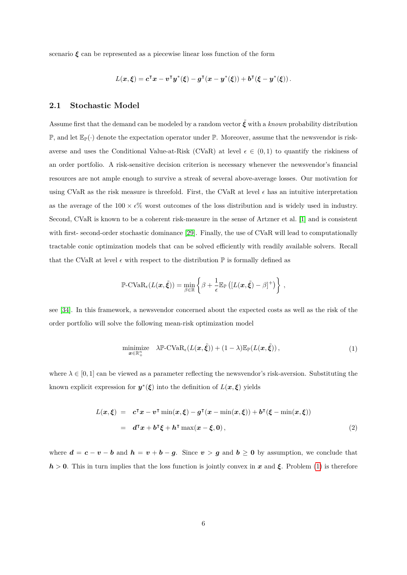scenario  $\xi$  can be represented as a piecewise linear loss function of the form

$$
L(\boldsymbol{x},\boldsymbol{\xi})=\boldsymbol{c}^{\intercal}\boldsymbol{x}-\boldsymbol{v}^{\intercal}\boldsymbol{y}^{*}(\boldsymbol{\xi})-\boldsymbol{g}^{\intercal}(\boldsymbol{x}-\boldsymbol{y}^{*}(\boldsymbol{\xi}))+\boldsymbol{b}^{\intercal}(\boldsymbol{\xi}-\boldsymbol{y}^{*}(\boldsymbol{\xi}))\,.
$$

#### **2.1 Stochastic Model**

Assume first that the demand can be modeled by a random vector  $\tilde{\mathcal{E}}$  with a *known* probability distribution  $\mathbb{P}$ , and let  $\mathbb{E}_{\mathbb{P}}(\cdot)$  denote the expectation operator under  $\mathbb{P}$ . Moreover, assume that the newsvendor is riskaverse and uses the Conditional Value-at-Risk (CVaR) at level  $\epsilon \in (0,1)$  to quantify the riskiness of an order portfolio. A risk-sensitive decision criterion is necessary whenever the newsvendor's financial resources are not ample enough to survive a streak of several above-average losses. Our motivation for using CVaR as the risk measure is threefold. First, the CVaR at level  $\epsilon$  has an intuitive interpretation as the average of the  $100 \times e\%$  worst outcomes of the loss distribution and is widely used in industry. Second, CVaR is known to be a coherent risk-measure in the sense of Artzner et al. [\[1\]](#page-27-3) and is consistent with first- second-order stochastic dominance [\[29\]](#page-29-6). Finally, the use of CVaR will lead to computationally tractable conic optimization models that can be solved efficiently with readily available solvers. Recall that the CVaR at level  $\epsilon$  with respect to the distribution  $\mathbb P$  is formally defined as

$$
\mathbb{P}\text{-CVaR}_{\epsilon}(L(\boldsymbol{x},\tilde{\boldsymbol{\xi}}))=\min_{\beta\in\mathbb{R}}\left\{\beta+\frac{1}{\epsilon}\mathbb{E}_{\mathbb{P}}\left([L(\boldsymbol{x},\tilde{\boldsymbol{\xi}})-\beta]^{+}\right)\right\},\,
$$

see [\[34\]](#page-29-7). In this framework, a newsvendor concerned about the expected costs as well as the risk of the order portfolio will solve the following mean-risk optimization model

<span id="page-5-1"></span><span id="page-5-0"></span>
$$
\underset{\boldsymbol{x}\in\mathbb{R}_{+}^{n}}{\text{minimize}} \quad \lambda \mathbb{P}\text{-CVaR}_{\epsilon}(L(\boldsymbol{x},\tilde{\boldsymbol{\xi}})) + (1-\lambda)\mathbb{E}_{\mathbb{P}}(L(\boldsymbol{x},\tilde{\boldsymbol{\xi}})),
$$
\n(1)

where  $\lambda \in [0, 1]$  can be viewed as a parameter reflecting the newsvendor's risk-aversion. Substituting the known explicit expression for  $y^*(\xi)$  into the definition of  $L(x,\xi)$  yields

$$
L(x,\xi) = c^{\mathsf{T}}x - v^{\mathsf{T}}\min(x,\xi) - g^{\mathsf{T}}(x - \min(x,\xi)) + b^{\mathsf{T}}(\xi - \min(x,\xi))
$$
  
= 
$$
d^{\mathsf{T}}x + b^{\mathsf{T}}\xi + h^{\mathsf{T}}\max(x - \xi, 0),
$$
 (2)

where  $d = c - v - b$  and  $h = v + b - g$ . Since  $v > g$  and  $b \ge 0$  by assumption, we conclude that  $h > 0$ . This in turn implies that the loss function is jointly convex in x and  $\xi$ . Problem [\(1\)](#page-5-0) is therefore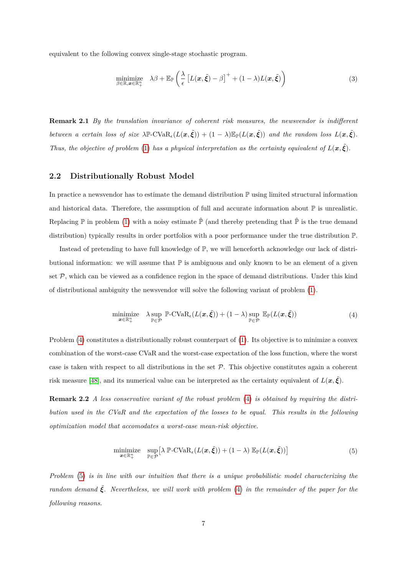equivalent to the following convex single-stage stochastic program.

$$
\underset{\beta \in \mathbb{R}, \boldsymbol{x} \in \mathbb{R}_+^n}{\text{minimize}} \quad \lambda \beta + \mathbb{E}_{\mathbb{P}} \left( \frac{\lambda}{\epsilon} \left[ L(\boldsymbol{x}, \tilde{\boldsymbol{\xi}}) - \beta \right]^+ + (1 - \lambda) L(\boldsymbol{x}, \tilde{\boldsymbol{\xi}}) \right) \tag{3}
$$

**Remark 2.1** *By the translation invariance of coherent risk measures, the newsvendor is indifferent between a certain loss of size*  $\lambda \mathbb{P}\text{-CVaR}_{\epsilon}(L(\mathbf{x}, \tilde{\xi})) + (1 - \lambda) \mathbb{E}_{\mathbb{P}}(L(\mathbf{x}, \tilde{\xi}))$  *and the random loss*  $L(\mathbf{x}, \tilde{\xi})$ *. Thus, the objective of problem* [\(1\)](#page-5-0) *has a physical interpretation as the certainty equivalent of*  $L(x, \tilde{\xi})$ *.* 

### **2.2 Distributionally Robust Model**

In practice a newsvendor has to estimate the demand distribution  $\mathbb P$  using limited structural information and historical data. Therefore, the assumption of full and accurate information about  $\mathbb P$  is unrealistic. Replacing  $\mathbb P$  in problem [\(1\)](#page-5-0) with a noisy estimate  $\hat{\mathbb P}$  (and thereby pretending that  $\hat{\mathbb P}$  is the true demand distribution) typically results in order portfolios with a poor performance under the true distribution P.

Instead of pretending to have full knowledge of P, we will henceforth acknowledge our lack of distributional information: we will assume that  $\mathbb P$  is ambiguous and only known to be an element of a given set  $P$ , which can be viewed as a confidence region in the space of demand distributions. Under this kind of distributional ambiguity the newsvendor will solve the following variant of problem [\(1\)](#page-5-0).

<span id="page-6-0"></span>
$$
\underset{\boldsymbol{x}\in\mathbb{R}_{+}^{n}}{\text{minimize}} \quad \lambda \underset{\mathbb{P}\in\mathcal{P}}{\text{sup}} \quad \mathbb{P}\text{-CVaR}_{\epsilon}(L(\boldsymbol{x},\tilde{\xi})) + (1-\lambda) \underset{\mathbb{P}\in\mathcal{P}}{\text{sup}} \quad \mathbb{E}_{\mathbb{P}}(L(\boldsymbol{x},\tilde{\xi})) \tag{4}
$$

Problem [\(4\)](#page-6-0) constitutes a distributionally robust counterpart of [\(1\)](#page-5-0). Its objective is to minimize a convex combination of the worst-case CVaR and the worst-case expectation of the loss function, where the worst case is taken with respect to all distributions in the set  $P$ . This objective constitutes again a coherent risk measure [\[48\]](#page-30-4), and its numerical value can be interpreted as the certainty equivalent of  $L(x, \tilde{\xi})$ .

**Remark 2.2** *A less conservative variant of the robust problem* [\(4\)](#page-6-0) *is obtained by requiring the distribution used in the CVaR and the expectation of the losses to be equal. This results in the following optimization model that accomodates a worst-case mean-risk objective.*

<span id="page-6-1"></span>
$$
\underset{\boldsymbol{x}\in\mathbb{R}_{+}^{n}}{\text{minimize}} \quad \underset{\mathbb{P}\in\mathcal{P}}{\text{sup}}\left[\lambda \; \mathbb{P}\text{-CVaR}_{\epsilon}(L(\boldsymbol{x},\tilde{\boldsymbol{\xi}})) + (1-\lambda) \; \mathbb{E}_{\mathbb{P}}(L(\boldsymbol{x},\tilde{\boldsymbol{\xi}}))\right]
$$
(5)

*Problem* [\(5\)](#page-6-1) *is in line with our intuition that there is a unique probabilistic model characterizing the random demand*  $\tilde{\mathbf{\xi}}$ . Nevertheless, we will work with problem [\(4\)](#page-6-0) in the remainder of the paper for the *following reasons.*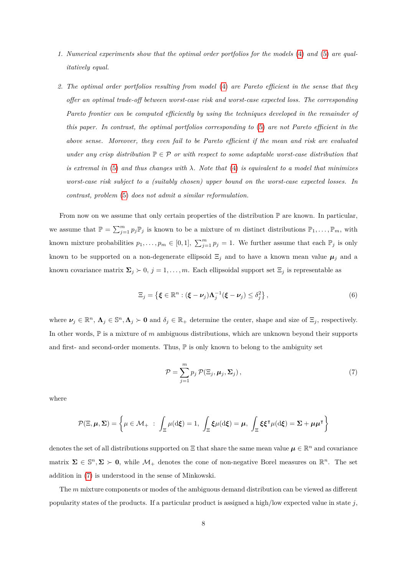- *1. Numerical experiments show that the optimal order portfolios for the models* [\(4\)](#page-6-0) *and* [\(5\)](#page-6-1) *are qualitatively equal.*
- *2. The optimal order portfolios resulting from model* [\(4\)](#page-6-0) *are Pareto efficient in the sense that they offer an optimal trade-off between worst-case risk and worst-case expected loss. The corresponding Pareto frontier can be computed efficiently by using the techniques developed in the remainder of this paper. In contrast, the optimal portfolios corresponding to* [\(5\)](#page-6-1) *are not Pareto efficient in the above sense. Moreover, they even fail to be Pareto efficient if the mean and risk are evaluated under any crisp distribution*  $\mathbb{P} \in \mathcal{P}$  *or with respect to some adaptable worst-case distribution that is extremal in* [\(5\)](#page-6-1) *and thus changes with λ. Note that* [\(4\)](#page-6-0) *is equivalent to a model that minimizes worst-case risk subject to a (suitably chosen) upper bound on the worst-case expected losses. In contrast, problem* [\(5\)](#page-6-1) *does not admit a similar reformulation.*

From now on we assume that only certain properties of the distribution  $\mathbb P$  are known. In particular, we assume that  $\mathbb{P} = \sum_{j=1}^{m} p_j \mathbb{P}_j$  is known to be a mixture of *m* distinct distributions  $\mathbb{P}_1, \ldots, \mathbb{P}_m$ , with known mixture probabilities  $p_1, \ldots, p_m \in [0,1], \sum_{j=1}^m p_j = 1$ . We further assume that each  $\mathbb{P}_j$  is only known to be supported on a non-degenerate ellipsoid  $\Xi_j$  and to have a known mean value  $\mu_j$  and a known covariance matrix  $\Sigma_j \succ 0$ ,  $j = 1, ..., m$ . Each ellipsoidal support set  $\Xi_j$  is representable as

$$
\Xi_j = \left\{ \boldsymbol{\xi} \in \mathbb{R}^n : (\boldsymbol{\xi} - \boldsymbol{\nu}_j) \boldsymbol{\Lambda}_j^{-1} (\boldsymbol{\xi} - \boldsymbol{\nu}_j) \leq \delta_j^2 \right\},\tag{6}
$$

where  $\nu_j \in \mathbb{R}^n$ ,  $\Lambda_j \in \mathbb{S}^n$ ,  $\Lambda_j \succ 0$  and  $\delta_j \in \mathbb{R}_+$  determine the center, shape and size of  $\Xi_j$ , respectively. In other words, P is a mixture of *m* ambiguous distributions, which are unknown beyond their supports and first- and second-order moments. Thus,  $\mathbb P$  is only known to belong to the ambiguity set

<span id="page-7-1"></span><span id="page-7-0"></span>
$$
\mathcal{P} = \sum_{j=1}^{m} p_j \, \mathcal{P}(\Xi_j, \mu_j, \Sigma_j), \tag{7}
$$

where

$$
\mathcal{P}(\Xi,\mu,\Sigma)=\left\{\mu\in\mathcal{M}_+~:~\int_\Xi\mu(\mathrm{d}\pmb{\xi})=1,~\int_\Xi\pmb{\xi}\mu(\mathrm{d}\pmb{\xi})=\mu,~\int_\Xi\pmb{\xi}\pmb{\xi}^\intercal\mu(\mathrm{d}\pmb{\xi})=\Sigma+\mu\mu^\intercal\right\}
$$

denotes the set of all distributions supported on  $\Xi$  that share the same mean value  $\mu \in \mathbb{R}^n$  and covariance matrix  $\Sigma \in \mathbb{S}^n$ ,  $\Sigma \succ 0$ , while  $\mathcal{M}_+$  denotes the cone of non-negative Borel measures on  $\mathbb{R}^n$ . The set addition in [\(7\)](#page-7-0) is understood in the sense of Minkowski.

The *m* mixture components or modes of the ambiguous demand distribution can be viewed as different popularity states of the products. If a particular product is assigned a high/low expected value in state *j*,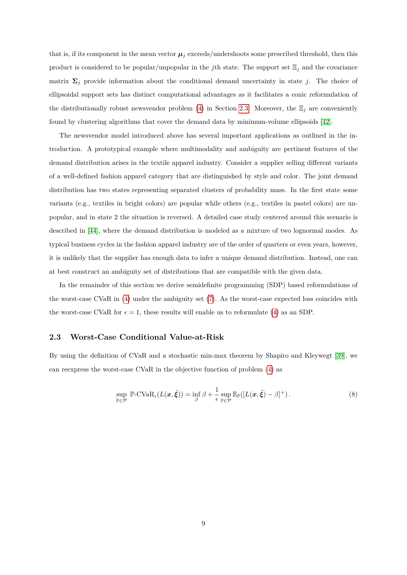that is, if its component in the mean vector  $\mu_j$  exceeds/undershoots some prescribed threshold, then this product is considered to be popular/unpopular in the *j*th state. The support set  $\Xi_j$  and the covariance matrix  $\Sigma_j$  provide information about the conditional demand uncertainty in state *j*. The choice of ellipsoidal support sets has distinct computational advantages as it facilitates a conic reformulation of the distributionally robust newsvendor problem [\(4\)](#page-6-0) in Section [2.3.](#page-8-0) Moreover, the  $\Xi_j$  are conveniently found by clustering algorithms that cover the demand data by minimum-volume ellipsoids [\[42\]](#page-30-5).

The newsvendor model introduced above has several important applications as outlined in the introduction. A prototypical example where multimodality and ambiguity are pertinent features of the demand distribution arises in the textile apparel industry. Consider a supplier selling different variants of a well-defined fashion apparel category that are distinguished by style and color. The joint demand distribution has two states representing separated clusters of probability mass. In the first state some variants (e.g., textiles in bright colors) are popular while others (e.g., textiles in pastel colors) are unpopular, and in state 2 the situation is reversed. A detailed case study centered around this scenario is described in [\[44\]](#page-30-0), where the demand distribution is modeled as a mixture of two lognormal modes. As typical business cycles in the fashion apparel industry are of the order of quarters or even years, however, it is unlikely that the supplier has enough data to infer a unique demand distribution. Instead, one can at best construct an ambiguity set of distributions that are compatible with the given data.

In the remainder of this section we derive semidefinite programming (SDP) based reformulations of the worst-case CVaR in [\(4\)](#page-6-0) under the ambiguity set [\(7\)](#page-7-0). As the worst-case expected loss coincides with the worst-case CVaR for  $\epsilon = 1$ , these results will enable us to reformulate [\(4\)](#page-6-0) as an SDP.

#### <span id="page-8-0"></span>**2.3 Worst-Case Conditional Value-at-Risk**

By using the definition of CVaR and a stochastic min-max theorem by Shapiro and Kleywegt [\[39\]](#page-30-6), we can reexpress the worst-case CVaR in the objective function of problem [\(4\)](#page-6-0) as

<span id="page-8-1"></span>
$$
\sup_{\mathbb{P}\in\mathcal{P}} \mathbb{P}\text{-CVaR}_{\epsilon}(L(\boldsymbol{x},\tilde{\boldsymbol{\xi}})) = \inf_{\beta} \beta + \frac{1}{\epsilon} \sup_{\mathbb{P}\in\mathcal{P}} \mathbb{E}_{\mathbb{P}}([L(\boldsymbol{x},\tilde{\boldsymbol{\xi}})-\beta]^{+}).
$$
\n(8)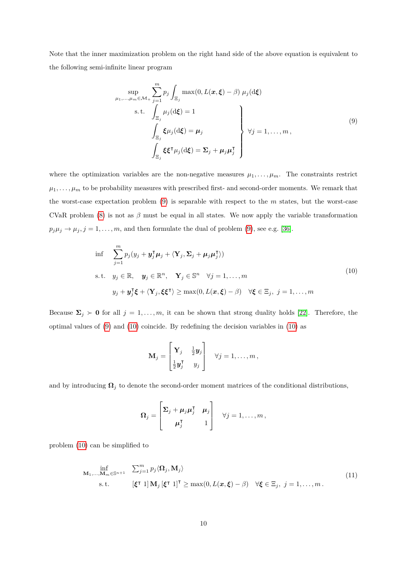Note that the inner maximization problem on the right hand side of the above equation is equivalent to the following semi-infinite linear program

<span id="page-9-0"></span>
$$
\sup_{\mu_1,\dots,\mu_m \in \mathcal{M}_+} \sum_{j=1}^m p_j \int_{\Xi_j} \max(0, L(\boldsymbol{x}, \boldsymbol{\xi}) - \beta) \mu_j(\mathrm{d}\boldsymbol{\xi})
$$
  
s.t. 
$$
\int_{\Xi_j} \mu_j(\mathrm{d}\boldsymbol{\xi}) = 1
$$

$$
\int_{\Xi_j} \boldsymbol{\xi} \mu_j(\mathrm{d}\boldsymbol{\xi}) = \boldsymbol{\mu}_j
$$

$$
\int_{\Xi_j} \boldsymbol{\xi} \boldsymbol{\xi}^\mathsf{T} \mu_j(\mathrm{d}\boldsymbol{\xi}) = \boldsymbol{\Sigma}_j + \mu_j \boldsymbol{\mu}_j^\mathsf{T}
$$

$$
(9)
$$

where the optimization variables are the non-negative measures  $\mu_1, \ldots, \mu_m$ . The constraints restrict  $\mu_1, \ldots, \mu_m$  to be probability measures with prescribed first- and second-order moments. We remark that the worst-case expectation problem [\(9\)](#page-9-0) is separable with respect to the *m* states, but the worst-case CVaR problem [\(8\)](#page-8-1) is not as  $\beta$  must be equal in all states. We now apply the variable transformation  $p_j \mu_j \rightarrow \mu_j, j = 1, \ldots, m$ , and then formulate the dual of problem [\(9\)](#page-9-0), see e.g. [\[36\]](#page-30-7).

$$
\inf \sum_{j=1}^{m} p_j (y_j + \mathbf{y}_j^{\mathsf{T}} \boldsymbol{\mu}_j + \langle \mathbf{Y}_j, \boldsymbol{\Sigma}_j + \boldsymbol{\mu}_j \boldsymbol{\mu}_j^{\mathsf{T}} \rangle)
$$
\n
$$
\text{s.t.} \quad y_j \in \mathbb{R}, \quad \mathbf{y}_j \in \mathbb{R}^n, \quad \mathbf{Y}_j \in \mathbb{S}^n \quad \forall j = 1, \dots, m
$$
\n
$$
y_j + \mathbf{y}_j^{\mathsf{T}} \boldsymbol{\xi} + \langle \mathbf{Y}_j, \boldsymbol{\xi} \boldsymbol{\xi}^{\mathsf{T}} \rangle \ge \max(0, L(\mathbf{x}, \boldsymbol{\xi}) - \beta) \quad \forall \boldsymbol{\xi} \in \Xi_j, \ j = 1, \dots, m
$$
\n
$$
(10)
$$

Because  $\Sigma_j \succ 0$  for all  $j = 1, \ldots, m$ , it can be shown that strong duality holds [\[22\]](#page-28-7). Therefore, the optimal values of [\(9\)](#page-9-0) and [\(10\)](#page-9-1) coincide. By redefining the decision variables in [\(10\)](#page-9-1) as

<span id="page-9-1"></span>
$$
\mathbf{M}_j = \begin{bmatrix} \mathbf{Y}_j & \frac{1}{2}\mathbf{y}_j \\ \frac{1}{2}\mathbf{y}_j^{\mathsf{T}} & y_j \end{bmatrix} \quad \forall j = 1,\ldots,m\,,
$$

and by introducing  $\Omega_j$  to denote the second-order moment matrices of the conditional distributions,

<span id="page-9-2"></span>
$$
\boldsymbol{\Omega}_j = \begin{bmatrix} \boldsymbol{\Sigma}_j + \boldsymbol{\mu}_j \boldsymbol{\mu}_j^{\mathsf{T}} & \boldsymbol{\mu}_j \\ \boldsymbol{\mu}_j^{\mathsf{T}} & 1 \end{bmatrix} \quad \forall j = 1, \ldots, m,
$$

problem [\(10\)](#page-9-1) can be simplified to

$$
\inf_{\mathbf{M}_1,\dots,\mathbf{M}_m \in \mathbb{S}^{n+1}} \quad \sum_{j=1}^m p_j \langle \mathbf{\Omega}_j, \mathbf{M}_j \rangle
$$
\n
$$
\text{s.t.} \quad [\xi^\intercal 1] \mathbf{M}_j [\xi^\intercal 1]^\intercal \ge \max(0, L(\boldsymbol{x}, \xi) - \beta) \quad \forall \xi \in \Xi_j, \ j = 1, \dots, m. \tag{11}
$$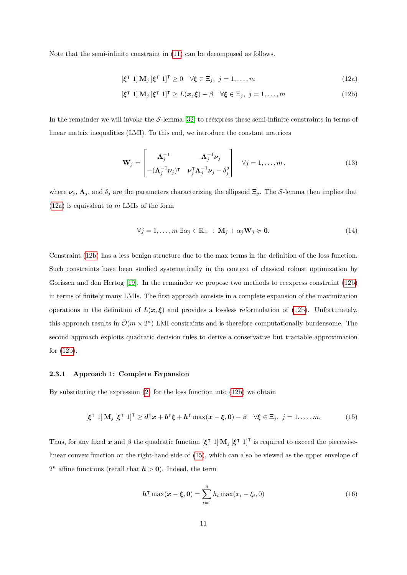Note that the semi-infinite constraint in [\(11\)](#page-9-2) can be decomposed as follows.

<span id="page-10-1"></span>
$$
\left[\xi^{\mathsf{T}}\ 1\right]\mathbf{M}_{j}\left[\xi^{\mathsf{T}}\ 1\right]^{\mathsf{T}}\geq0\quad\forall\xi\in\Xi_{j},\ j=1,\ldots,m\tag{12a}
$$

$$
\left[\xi^{\mathsf{T}}\ 1\right]\mathbf{M}_{j}\left[\xi^{\mathsf{T}}\ 1\right]^{\mathsf{T}}\geq L(\boldsymbol{x},\xi)-\beta\quad\forall\xi\in\Xi_{j},\ j=1,\ldots,m\tag{12b}
$$

In the remainder we will invoke the  $S$ -lemma [\[32\]](#page-29-8) to reexpress these semi-infinite constraints in terms of linear matrix inequalities (LMI). To this end, we introduce the constant matrices

<span id="page-10-4"></span>
$$
\mathbf{W}_{j} = \begin{bmatrix} \mathbf{\Lambda}_{j}^{-1} & -\mathbf{\Lambda}_{j}^{-1}\mathbf{\nu}_{j} \\ -(\mathbf{\Lambda}_{j}^{-1}\mathbf{\nu}_{j})^{\mathsf{T}} & \mathbf{\nu}_{j}^{\mathsf{T}}\mathbf{\Lambda}_{j}^{-1}\mathbf{\nu}_{j} - \delta_{j}^{2} \end{bmatrix} \quad \forall j = 1, ..., m,
$$
\n(13)

where  $\nu_j$ ,  $\Lambda_j$ , and  $\delta_j$  are the parameters characterizing the ellipsoid  $\Xi_j$ . The S-lemma then implies that [\(12a\)](#page-5-0) is equivalent to *m* LMIs of the form

$$
\forall j = 1, \dots, m \; \exists \alpha_j \in \mathbb{R}_+ : \mathbf{M}_j + \alpha_j \mathbf{W}_j \succcurlyeq \mathbf{0}.\tag{14}
$$

Constraint [\(12b\)](#page-5-1) has a less benign structure due to the max terms in the definition of the loss function. Such constraints have been studied systematically in the context of classical robust optimization by Gorissen and den Hertog [\[19\]](#page-28-8). In the remainder we propose two methods to reexpress constraint [\(12b\)](#page-5-1) in terms of finitely many LMIs. The first approach consists in a complete expansion of the maximization operations in the definition of  $L(x, \xi)$  and provides a lossless reformulation of [\(12b\)](#page-5-1). Unfortunately, this approach results in  $\mathcal{O}(m \times 2^n)$  LMI constraints and is therefore computationally burdensome. The second approach exploits quadratic decision rules to derive a conservative but tractable approximation for [\(12b\)](#page-5-1).

#### <span id="page-10-2"></span>**2.3.1 Approach 1: Complete Expansion**

By substituting the expression [\(2\)](#page-5-1) for the loss function into [\(12b\)](#page-5-1) we obtain

$$
[\xi^{\mathsf{T}}\ 1]\ \mathbf{M}_{j}\ [\xi^{\mathsf{T}}\ 1]^{\mathsf{T}} \geq d^{\mathsf{T}}x + b^{\mathsf{T}}\xi + h^{\mathsf{T}}\max(x-\xi,0) - \beta \quad \forall \xi \in \Xi_{j},\ j = 1,\ldots,m. \tag{15}
$$

Thus, for any fixed x and  $\beta$  the quadratic function  $[\xi^{\dagger} \ 1] M_j [\xi^{\dagger} \ 1]^{\dagger}$  is required to exceed the piecewiselinear convex function on the right-hand side of [\(15\)](#page-10-0), which can also be viewed as the upper envelope of  $2^n$  affine functions (recall that  $h > 0$ ). Indeed, the term

<span id="page-10-3"></span><span id="page-10-0"></span>
$$
h^{\mathsf{T}} \max(x - \xi, 0) = \sum_{i=1}^{n} h_i \max(x_i - \xi_i, 0)
$$
 (16)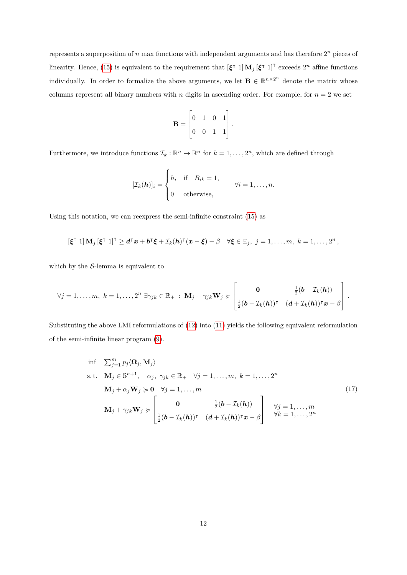represents a superposition of  $n$  max functions with independent arguments and has therefore  $2^n$  pieces of linearity. Hence, [\(15\)](#page-10-0) is equivalent to the requirement that  $[\xi^{\dagger} \ 1] \mathbf{M}_j [\xi^{\dagger} \ 1]^{\dagger}$  exceeds  $2^n$  affine functions individually. In order to formalize the above arguments, we let  $\mathbf{B} \in \mathbb{R}^{n \times 2^n}$  denote the matrix whose columns represent all binary numbers with *n* digits in ascending order. For example, for  $n = 2$  we set

$$
\mathbf{B} = \begin{bmatrix} 0 & 1 & 0 & 1 \\ 0 & 0 & 1 & 1 \end{bmatrix}.
$$

Furthermore, we introduce functions  $\mathcal{I}_k : \mathbb{R}^n \to \mathbb{R}^n$  for  $k = 1, \ldots, 2^n$ , which are defined through

$$
[\mathcal{I}_k(\boldsymbol{h})]_i = \begin{cases} h_i & \text{if} \quad B_{ik} = 1, \\ 0 & \text{otherwise,} \end{cases} \qquad \forall i = 1, \dots, n.
$$

Using this notation, we can reexpress the semi-infinite constraint [\(15\)](#page-10-0) as

$$
[\xi^{\mathsf{T}}\;1]\,\mathbf{M}_j\,[\xi^{\mathsf{T}}\;1]^{\mathsf{T}}\geq d^{\mathsf{T}}x+b^{\mathsf{T}}\xi+\mathcal{I}_k(h)^{\mathsf{T}}(x-\xi)-\beta\quad\forall\xi\in\Xi_j,\;j=1,\ldots,m,\;k=1,\ldots,2^n\,,
$$

which by the  $S$ -lemma is equivalent to

$$
\forall j=1,\ldots,m, \ k=1,\ldots,2^n \ \exists \gamma_{jk} \in \mathbb{R}_+ \ : \ \mathbf{M}_j + \gamma_{jk} \mathbf{W}_j \succcurlyeq \begin{bmatrix} \mathbf{0} & \frac{1}{2}(\mathbf{b} - \mathcal{I}_k(\mathbf{h})) \\ \frac{1}{2}(\mathbf{b} - \mathcal{I}_k(\mathbf{h}))^{\intercal} & (\mathbf{d} + \mathcal{I}_k(\mathbf{h}))^{\intercal} \mathbf{x} - \beta \end{bmatrix}.
$$

Substituting the above LMI reformulations of [\(12\)](#page-10-1) into [\(11\)](#page-9-2) yields the following equivalent reformulation of the semi-infinite linear program [\(9\)](#page-9-0).

<span id="page-11-0"></span>
$$
\inf \sum_{j=1}^{m} p_j \langle \mathbf{\Omega}_j, \mathbf{M}_j \rangle
$$
\n
$$
\text{s.t.} \quad \mathbf{M}_j \in \mathbb{S}^{n+1}, \quad \alpha_j, \ \gamma_{jk} \in \mathbb{R}_+ \quad \forall j = 1, \dots, m, \ k = 1, \dots, 2^n
$$
\n
$$
\mathbf{M}_j + \alpha_j \mathbf{W}_j \succcurlyeq \mathbf{0} \quad \forall j = 1, \dots, m
$$
\n
$$
\mathbf{M}_j + \gamma_{jk} \mathbf{W}_j \succcurlyeq \begin{bmatrix} \mathbf{0} & \frac{1}{2} (\mathbf{b} - \mathcal{I}_k(\mathbf{h})) \\ \frac{1}{2} (\mathbf{b} - \mathcal{I}_k(\mathbf{h}))^\mathsf{T} & (\mathbf{d} + \mathcal{I}_k(\mathbf{h}))^\mathsf{T} \mathbf{x} - \beta \end{bmatrix} \quad \forall j = 1, \dots, m
$$
\n
$$
\forall j = 1, \dots, m
$$
\n
$$
\forall k = 1, \dots, 2^n
$$
\n
$$
(17)
$$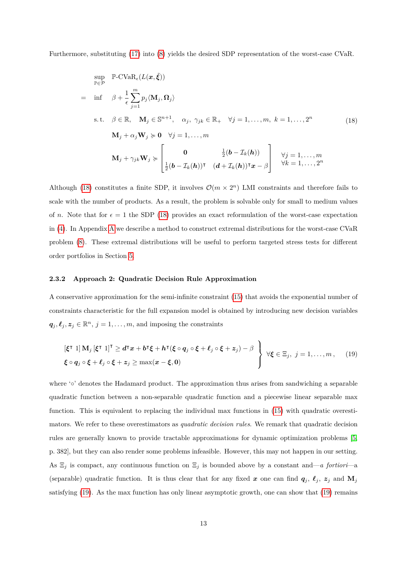Furthermore, substituting [\(17\)](#page-11-0) into [\(8\)](#page-8-1) yields the desired SDP representation of the worst-case CVaR.

<span id="page-12-0"></span>
$$
\sup_{\mathbb{P}\in\mathcal{P}} \mathbb{P}\text{-CVaR}_{\epsilon}(L(\boldsymbol{x}, \tilde{\boldsymbol{\xi}}))
$$
\n
$$
= \inf \beta + \frac{1}{\epsilon} \sum_{j=1}^{m} p_j \langle \mathbf{M}_j, \mathbf{\Omega}_j \rangle
$$
\n
$$
\text{s.t. } \beta \in \mathbb{R}, \quad \mathbf{M}_j \in \mathbb{S}^{n+1}, \quad \alpha_j, \ \gamma_{jk} \in \mathbb{R}_+ \quad \forall j = 1, \dots, m, \ k = 1, \dots, 2^n \tag{18}
$$
\n
$$
\mathbf{M}_j + \alpha_j \mathbf{W}_j \succcurlyeq \mathbf{0} \quad \forall j = 1, \dots, m
$$
\n
$$
\mathbf{M}_j + \gamma_{jk} \mathbf{W}_j \succcurlyeq \begin{bmatrix} \mathbf{0} & \frac{1}{2}(\mathbf{b} - \mathcal{I}_k(\mathbf{h})) \\ \frac{1}{2}(\mathbf{b} - \mathcal{I}_k(\mathbf{h}))^\mathsf{T} & (\mathbf{d} + \mathcal{I}_k(\mathbf{h}))^\mathsf{T} \boldsymbol{x} - \beta \end{bmatrix} \quad \forall j = 1, \dots, m
$$

Although [\(18\)](#page-12-0) constitutes a finite SDP, it involves  $\mathcal{O}(m \times 2^n)$  LMI constraints and therefore fails to scale with the number of products. As a result, the problem is solvable only for small to medium values of *n*. Note that for  $\epsilon = 1$  the SDP [\(18\)](#page-12-0) provides an exact reformulation of the worst-case expectation in [\(4\)](#page-6-0). In Appendix [A](#page-31-0) we describe a method to construct extremal distributions for the worst-case CVaR problem [\(8\)](#page-8-1). These extremal distributions will be useful to perform targeted stress tests for different order portfolios in Section [5.](#page-22-0)

#### <span id="page-12-2"></span>**2.3.2 Approach 2: Quadratic Decision Rule Approximation**

A conservative approximation for the semi-infinite constraint [\(15\)](#page-10-0) that avoids the exponential number of constraints characteristic for the full expansion model is obtained by introducing new decision variables  $q_j, \ell_j, z_j \in \mathbb{R}^n, j = 1, \ldots, m$ , and imposing the constraints

<span id="page-12-1"></span>
$$
\begin{aligned}\n[\xi^{\intercal} \ 1] \mathbf{M}_{j} \,[\xi^{\intercal} \ 1]^{\intercal} &\geq d^{\intercal} x + b^{\intercal} \xi + h^{\intercal} (\xi \circ q_{j} \circ \xi + \ell_{j} \circ \xi + z_{j}) - \beta \\
\xi \circ q_{j} \circ \xi + \ell_{j} \circ \xi + z_{j} &\geq \max(x - \xi, 0)\n\end{aligned}\n\bigg\} \quad \forall \xi \in \Xi_{j}, \ j = 1, \ldots, m, \quad (19)
$$

where '∘' denotes the Hadamard product. The approximation thus arises from sandwiching a separable quadratic function between a non-separable quadratic function and a piecewise linear separable max function. This is equivalent to replacing the individual max functions in [\(15\)](#page-10-0) with quadratic overestimators. We refer to these overestimators as *quadratic decision rules*. We remark that quadratic decision rules are generally known to provide tractable approximations for dynamic optimization problems [\[5,](#page-27-4) p. 382], but they can also render some problems infeasible. However, this may not happen in our setting. As  $\Xi_j$  is compact, any continuous function on  $\Xi_j$  is bounded above by a constant and—*a fortiori*—a (separable) quadratic function. It is thus clear that for any fixed x one can find  $q_j$ ,  $\ell_j$ ,  $z_j$  and  $M_j$ satisfying [\(19\)](#page-12-1). As the max function has only linear asymptotic growth, one can show that (19) remains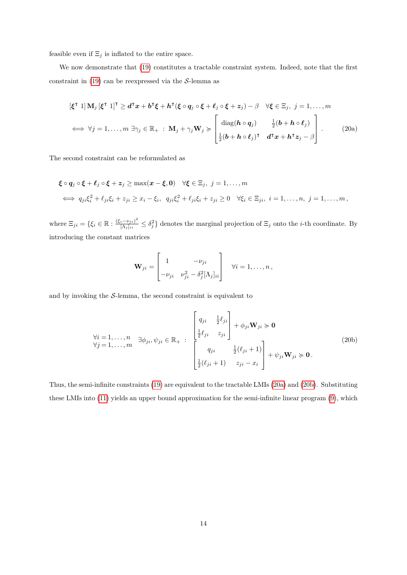feasible even if  $\Xi_j$  is inflated to the entire space.

We now demonstrate that [\(19\)](#page-12-1) constitutes a tractable constraint system. Indeed, note that the first constraint in  $(19)$  can be reexpressed via the S-lemma as

$$
[\xi^{\mathsf{T}} \ 1] \mathbf{M}_{j} [\xi^{\mathsf{T}} \ 1]^{\mathsf{T}} \geq d^{\mathsf{T}} x + b^{\mathsf{T}} \xi + h^{\mathsf{T}} (\xi \circ q_{j} \circ \xi + \ell_{j} \circ \xi + z_{j}) - \beta \quad \forall \xi \in \Xi_{j}, \ j = 1, ..., m
$$
  

$$
\iff \forall j = 1, ..., m \ \exists \gamma_{j} \in \mathbb{R}_{+} : \mathbf{M}_{j} + \gamma_{j} \mathbf{W}_{j} \succcurlyeq \left[ \begin{array}{cc} \text{diag}(\boldsymbol{h} \circ q_{j}) & \frac{1}{2}(\boldsymbol{b} + \boldsymbol{h} \circ \ell_{j}) \\ \frac{1}{2}(\boldsymbol{b} + \boldsymbol{h} \circ \ell_{j})^{\mathsf{T}} & d^{\mathsf{T}} x + \boldsymbol{h}^{\mathsf{T}} z_{j} - \beta \end{array} \right]. \tag{20a}
$$

The second constraint can be reformulated as

$$
\begin{aligned}\n\boldsymbol{\xi} \circ \boldsymbol{q}_j &\circ \boldsymbol{\xi} + \boldsymbol{\ell}_j \circ \boldsymbol{\xi} + \boldsymbol{z}_j \ge \max(\boldsymbol{x} - \boldsymbol{\xi}, \boldsymbol{0}) \quad \forall \boldsymbol{\xi} \in \Xi_j, \ j = 1, \dots, m \\
&\iff q_{ji} \xi_i^2 + \ell_{ji} \xi_i + z_{ji} \ge x_i - \xi_i, \ q_{ji} \xi_i^2 + \ell_{ji} \xi_i + z_{ji} \ge 0 \quad \forall \xi_i \in \Xi_{ji}, \ i = 1, \dots, n, \ j = 1, \dots, m,\n\end{aligned}
$$

where  $\Xi_{ji} = \{\xi_i \in \mathbb{R} : \frac{(\xi_i - \nu_{ji})^2}{|\Lambda_i|_{ii}}\}$  $\frac{i-\nu_{ji}}{[\Lambda_j]_{ii}} \leq \delta_j^2$  denotes the marginal projection of  $\Xi_j$  onto the *i*-th coordinate. By introducing the constant matrices

$$
\mathbf{W}_{ji} = \begin{bmatrix} 1 & -\nu_{ji} \\ -\nu_{ji} & \nu_{ji}^2 - \delta_j^2 [\Lambda_j]_{ii} \end{bmatrix} \quad \forall i = 1, \dots, n,
$$

and by invoking the  $S$ -lemma, the second constraint is equivalent to

$$
\forall i = 1,...,n \quad \exists \phi_{ji}, \psi_{ji} \in \mathbb{R}_{+} : \begin{bmatrix} q_{ji} & \frac{1}{2}\ell_{ji} \\ \frac{1}{2}\ell_{ji} & z_{ji} \\ q_{ji} & \frac{1}{2}(\ell_{ji} + 1) \\ \frac{1}{2}(\ell_{ji} + 1) & z_{ji} - x_{i} \end{bmatrix} + \psi_{ji} \mathbf{W}_{ji} \succ \mathbf{0}.
$$
\n(20b)

Thus, the semi-infinite constraints [\(19\)](#page-12-1) are equivalent to the tractable LMIs [\(20a\)](#page-5-0) and [\(20b\)](#page-5-1). Substituting these LMIs into [\(11\)](#page-9-2) yields an upper bound approximation for the semi-infinite linear program [\(9\)](#page-9-0), which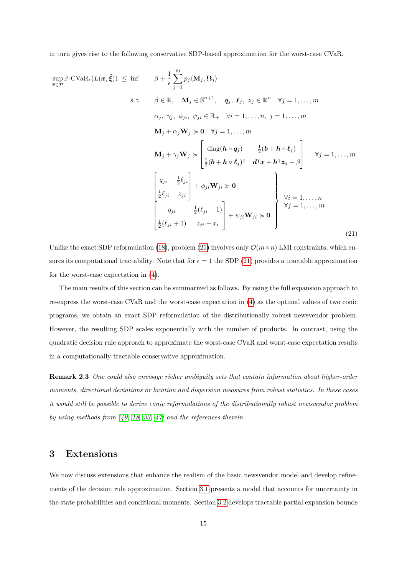in turn gives rise to the following conservative SDP-based approximation for the worst-case CVaR.

<span id="page-14-1"></span>
$$
\sup_{\mathbb{P}\in\mathcal{P}} \mathbb{P}\text{-CVaR}_{\epsilon}(L(\boldsymbol{x},\tilde{\boldsymbol{\xi}})) \leq \inf \qquad \beta + \frac{1}{\epsilon} \sum_{j=1}^{m} p_{j} \langle \mathbf{M}_{j}, \Omega_{j} \rangle
$$
\n
$$
\text{s.t.} \qquad \beta \in \mathbb{R}, \quad \mathbf{M}_{j} \in \mathbb{S}^{n+1}, \quad q_{j}, \ell_{j}, \ z_{j} \in \mathbb{R}^{n} \quad \forall j = 1, ..., m
$$
\n
$$
\alpha_{j}, \ \gamma_{j}, \ \phi_{ji}, \ \psi_{ji} \in \mathbb{R}_{+} \quad \forall i = 1, ..., n, \ j = 1, ..., m
$$
\n
$$
\mathbf{M}_{j} + \alpha_{j} \mathbf{W}_{j} \succcurlyeq \mathbf{0} \quad \forall j = 1, ..., m
$$
\n
$$
\mathbf{M}_{j} + \gamma_{j} \mathbf{W}_{j} \succcurlyeq \begin{bmatrix} \text{diag}(\mathbf{h} \circ \mathbf{q}_{j}) & \frac{1}{2}(\mathbf{b} + \mathbf{h} \circ \ell_{j}) \\ \frac{1}{2}(\mathbf{b} + \mathbf{h} \circ \ell_{j})^{\intercal} & \mathbf{d}^{\intercal}\mathbf{x} + \mathbf{h}^{\intercal}\mathbf{z}_{j} - \beta \end{bmatrix} \quad \forall j = 1, ..., m
$$
\n
$$
\begin{bmatrix} q_{ji} & \frac{1}{2}\ell_{ji} \\ \frac{1}{2}\ell_{ji} & z_{ji} \end{bmatrix} + \phi_{ji} \mathbf{W}_{ji} \succcurlyeq \mathbf{0}
$$
\n
$$
\begin{bmatrix} \forall i = 1, ..., n \\ \frac{1}{2}(\ell_{ji} + 1) & z_{ji} - x_{i} \end{bmatrix} + \psi_{ji} \mathbf{W}_{ji} \succcurlyeq \mathbf{0}
$$
\n
$$
\begin{bmatrix} \forall i = 1, ..., n \\ \forall j = 1, ..., m \\ \frac{1}{2}(\ell_{ji} + 1) & z_{ji} - x_{i} \end{bmatrix} \qquad (21)
$$

Unlike the exact SDP reformulation [\(18\)](#page-12-0), problem [\(21\)](#page-14-1) involves only  $\mathcal{O}(m \times n)$  LMI constraints, which ensures its computational tractability. Note that for  $\epsilon = 1$  the SDP [\(21\)](#page-14-1) provides a tractable approximation for the worst-case expectation in [\(4\)](#page-6-0).

The main results of this section can be summarized as follows. By using the full expansion approach to re-express the worst-case CVaR and the worst-case expectation in [\(4\)](#page-6-0) as the optimal values of two conic programs, we obtain an exact SDP reformulation of the distributionally robust newsvendor problem. However, the resulting SDP scales exponentially with the number of products. In contrast, using the quadratic decision rule approach to approximate the worst-case CVaR and worst-case expectation results in a computationally tractable conservative approximation.

**Remark 2.3** *One could also envisage richer ambiguity sets that contain information about higher-order moments, directional deviations or location and dispersion measures from robust statistics. In these cases it would still be possible to derive conic reformulations of the distributionally robust newsvendor problem by using methods from [\[49,](#page-30-8) [18,](#page-28-9) [33,](#page-29-9) [47\]](#page-30-9) and the references therein.*

## <span id="page-14-0"></span>**3 Extensions**

We now discuss extensions that enhance the realism of the basic newsvendor model and develop refinements of the decision rule approximation. Section [3.1](#page-15-0) presents a model that accounts for uncertainty in the state probabilities and conditional moments. Section [3.2](#page-18-1) develops tractable partial expansion bounds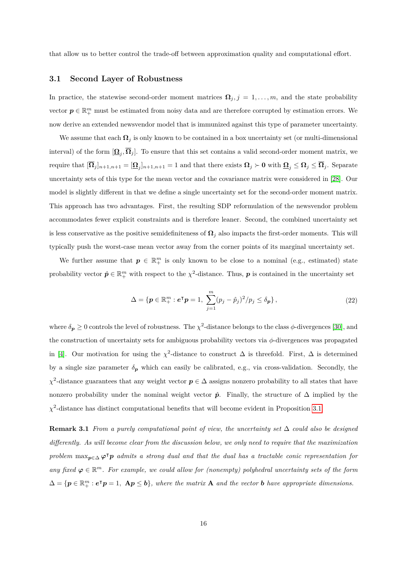that allow us to better control the trade-off between approximation quality and computational effort.

#### <span id="page-15-0"></span>**3.1 Second Layer of Robustness**

In practice, the statewise second-order moment matrices  $\mathbf{\Omega}_j$ ,  $j = 1, \ldots, m$ , and the state probability vector  $p \in \mathbb{R}^m_+$  must be estimated from noisy data and are therefore corrupted by estimation errors. We now derive an extended newsvendor model that is immunized against this type of parameter uncertainty.

We assume that each  $\Omega_i$  is only known to be contained in a box uncertainty set (or multi-dimensional interval) of the form  $[\underline{\Omega}_j, \Omega_j]$ . To ensure that this set contains a valid second-order moment matrix, we  $\text{require that } [\mathbf{\Omega}_j]_{n+1,n+1} = [\mathbf{\Omega}_j]_{n+1,n+1} = 1 \text{ and that there exists } \mathbf{\Omega}_j \succ 0 \text{ with } \mathbf{\Omega}_j \leq \mathbf{\Omega}_j \leq \mathbf{\Omega}_j.$  Separate uncertainty sets of this type for the mean vector and the covariance matrix were considered in [\[28\]](#page-29-10). Our model is slightly different in that we define a single uncertainty set for the second-order moment matrix. This approach has two advantages. First, the resulting SDP reformulation of the newsvendor problem accommodates fewer explicit constraints and is therefore leaner. Second, the combined uncertainty set is less conservative as the positive semidefiniteness of  $\Omega_j$  also impacts the first-order moments. This will typically push the worst-case mean vector away from the corner points of its marginal uncertainty set.

We further assume that  $p \in \mathbb{R}^m_+$  is only known to be close to a nominal (e.g., estimated) state probability vector  $\hat{\boldsymbol{p}} \in \mathbb{R}^m_+$  with respect to the  $\chi^2$ -distance. Thus,  $\boldsymbol{p}$  is contained in the uncertainty set

<span id="page-15-1"></span>
$$
\Delta = \{ \mathbf{p} \in \mathbb{R}_+^m : \mathbf{e}^\mathsf{T} \mathbf{p} = 1, \ \sum_{j=1}^m (p_j - \hat{p}_j)^2 / p_j \le \delta_{\mathbf{p}} \},\tag{22}
$$

where  $\delta_p \geq 0$  controls the level of robustness. The  $\chi^2$ -distance belongs to the class  $\phi$ -divergences [\[30\]](#page-29-11), and the construction of uncertainty sets for ambiguous probability vectors via *φ*-divergences was propagated in [\[4\]](#page-27-5). Our motivation for using the  $\chi^2$ -distance to construct  $\Delta$  is threefold. First,  $\Delta$  is determined by a single size parameter  $\delta_p$  which can easily be calibrated, e.g., via cross-validation. Secondly, the  $\chi^2$ -distance guarantees that any weight vector  $p \in \Delta$  assigns nonzero probability to all states that have nonzero probability under the nominal weight vector  $\hat{p}$ . Finally, the structure of  $\Delta$  implied by the  $\chi^2$ -distance has distinct computational benefits that will become evident in Proposition [3.1.](#page-16-0)

**Remark 3.1** *From a purely computational point of view, the uncertainty set* ∆ *could also be designed differently. As will become clear from the discussion below, we only need to require that the maximization problem*  $\max_{p \in \Delta} \varphi^{\dagger} p$  *admits a strong dual and that the dual has a tractable conic representation for* any fixed  $\varphi \in \mathbb{R}^m$ . For example, we could allow for (nonempty) polyhedral uncertainty sets of the form  $\Delta = {\bf{p} \in \mathbb{R}_+^m : e^{\dagger} \mathbf{p} = 1, \ \mathbf{A}\mathbf{p} \leq \mathbf{b}}$ , where the matrix **A** and the vector **b** have appropriate dimensions.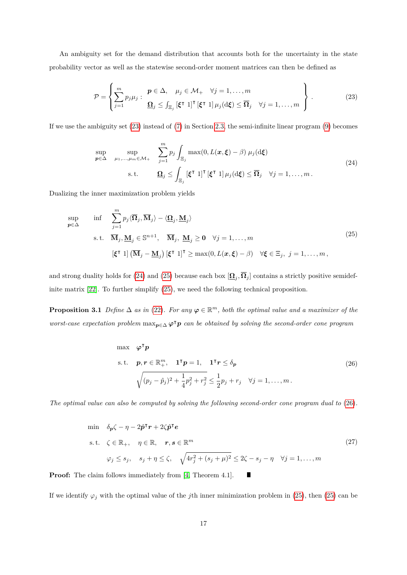An ambiguity set for the demand distribution that accounts both for the uncertainty in the state probability vector as well as the statewise second-order moment matrices can then be defined as

<span id="page-16-1"></span>
$$
\mathcal{P} = \left\{ \sum_{j=1}^{m} p_j \mu_j : \begin{array}{c} \mathbf{p} \in \Delta, \quad \mu_j \in \mathcal{M}_+ \quad \forall j = 1, \dots, m \\ \mathbf{\Omega}_j \leq \int_{\Xi_j} [\xi^\intercal \ 1]^\intercal [\xi^\intercal \ 1] \mu_j(\mathrm{d}\xi) \leq \overline{\mathbf{\Omega}}_j \quad \forall j = 1, \dots, m \end{array} \right\} . \tag{23}
$$

<span id="page-16-2"></span>If we use the ambiguity set [\(23\)](#page-16-1) instead of [\(7\)](#page-7-0) in Section [2.3,](#page-8-0) the semi-infinite linear program [\(9\)](#page-9-0) becomes

<span id="page-16-3"></span>
$$
\sup_{\mathbf{p}\in\Delta} \quad \sup_{\mu_1,\dots,\mu_m\in\mathcal{M}_+} \quad \sum_{j=1}^m p_j \int_{\Xi_j} \max(0, L(\mathbf{x}, \boldsymbol{\xi}) - \beta) \mu_j(\mathrm{d}\boldsymbol{\xi})
$$
\n
$$
\text{s.t.} \quad \mathbf{\Omega}_j \le \int_{\Xi_j} [\boldsymbol{\xi}^\mathsf{T} \ 1]^\mathsf{T} [\boldsymbol{\xi}^\mathsf{T} \ 1] \mu_j(\mathrm{d}\boldsymbol{\xi}) \le \overline{\mathbf{\Omega}}_j \quad \forall j = 1,\dots,m \,.
$$
\n
$$
(24)
$$

Dualizing the inner maximization problem yields

$$
\sup_{p \in \Delta} \quad \inf \quad \sum_{j=1}^{m} p_j \langle \overline{\Omega}_j, \overline{\mathbf{M}}_j \rangle - \langle \underline{\Omega}_j, \underline{\mathbf{M}}_j \rangle
$$
\n
$$
\text{s.t.} \quad \overline{\mathbf{M}}_j, \underline{\mathbf{M}}_j \in \mathbb{S}^{n+1}, \quad \overline{\mathbf{M}}_j, \underline{\mathbf{M}}_j \ge \mathbf{0} \quad \forall j = 1, \dots, m
$$
\n
$$
[\xi^{\mathsf{T}} \ 1] \left( \overline{\mathbf{M}}_j - \underline{\mathbf{M}}_j \right) [\xi^{\mathsf{T}} \ 1]^{\mathsf{T}} \ge \max(0, L(\mathbf{x}, \xi) - \beta) \quad \forall \xi \in \Xi_j, \ j = 1, \dots, m,
$$
\n
$$
(25)
$$

and strong duality holds for [\(24\)](#page-16-2) and [\(25\)](#page-16-3) because each box  $[\underline{\Omega}_j, \Omega_j]$  contains a strictly positive semidefinite matrix [\[22\]](#page-28-7). To further simplify [\(25\)](#page-16-3), we need the following technical proposition.

<span id="page-16-0"></span>**Proposition 3.1** *Define*  $\Delta$  *as in* [\(22\)](#page-15-1)*. For any*  $\varphi \in \mathbb{R}^m$ , both the optimal value and a maximizer of the *worst-case expectation problem* max<sub>p∈△</sub>  $\varphi$ <sup>T</sup>p *can be obtained by solving the second-order cone program* 

<span id="page-16-4"></span>max 
$$
\varphi^{\mathsf{T}} p
$$
  
\ns.t.  $p, r \in \mathbb{R}_+^m$ ,  $\mathbf{1}^{\mathsf{T}} p = 1$ ,  $\mathbf{1}^{\mathsf{T}} r \le \delta_p$   
\n
$$
\sqrt{(p_j - \hat{p}_j)^2 + \frac{1}{4}p_j^2 + r_j^2} \le \frac{1}{2}p_j + r_j \quad \forall j = 1, ..., m.
$$
\n(26)

*The optimal value can also be computed by solving the following second-order cone program dual to* [\(26\)](#page-16-4)*.*

$$
\begin{aligned}\n\min \quad & \delta_p \zeta - \eta - 2\hat{p}^\mathsf{T} r + 2\zeta \hat{p}^\mathsf{T} e \\
\text{s.t.} \quad & \zeta \in \mathbb{R}_+, \quad \eta \in \mathbb{R}, \quad r, s \in \mathbb{R}^m \\
& \varphi_j \leq s_j, \quad s_j + \eta \leq \zeta, \quad \sqrt{4r_j^2 + (s_j + \mu)^2} \leq 2\zeta - s_j - \eta \quad \forall j = 1, \dots, m\n\end{aligned}\n\tag{27}
$$

**Proof:** The claim follows immediately from [\[4,](#page-27-5) Theorem 4.1].  $\blacksquare$ 

If we identify  $\varphi_j$  with the optimal value of the *j*th inner minimization problem in [\(25\)](#page-16-3), then (25) can be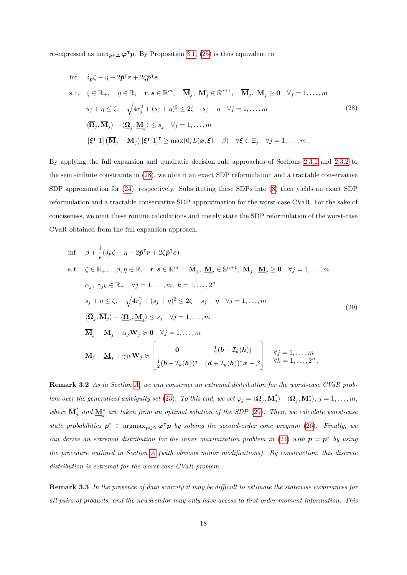re-expressed as  $\max_{p \in \Delta} \varphi^{\mathsf{T}} p$ . By Proposition [3.1,](#page-16-0) [\(25\)](#page-16-3) is thus equivalent to

<span id="page-17-0"></span>
$$
\inf \delta_{p}\zeta - \eta - 2\hat{p}^{\mathsf{T}}r + 2\zeta\hat{p}^{\mathsf{T}}e
$$
\n
$$
\text{s.t. } \zeta \in \mathbb{R}_{+}, \quad \eta \in \mathbb{R}, \quad r, s \in \mathbb{R}^{m}, \quad \overline{\mathbf{M}}_{j}, \underline{\mathbf{M}}_{j} \in \mathbb{S}^{n+1}, \quad \overline{\mathbf{M}}_{j}, \underline{\mathbf{M}}_{j} \ge 0 \quad \forall j = 1, \dots, m
$$
\n
$$
s_{j} + \eta \le \zeta, \quad \sqrt{4r_{j}^{2} + (s_{j} + \eta)^{2}} \le 2\zeta - s_{j} - \eta \quad \forall j = 1, \dots, m
$$
\n
$$
\langle \overline{\mathbf{\Omega}}_{j}, \overline{\mathbf{M}}_{j} \rangle - \langle \underline{\mathbf{\Omega}}_{j}, \underline{\mathbf{M}}_{j} \rangle \le s_{j} \quad \forall j = 1, \dots, m
$$
\n
$$
[\xi^{\mathsf{T}} \ 1] \left( \overline{\mathbf{M}}_{j} - \underline{\mathbf{M}}_{j} \right) [\xi^{\mathsf{T}} \ 1]^{\mathsf{T}} \ge \max(0, L(\mathbf{x}, \xi) - \beta) \quad \forall \xi \in \Xi_{j} \quad \forall j = 1, \dots, m.
$$
\n
$$
(28)
$$

By applying the full expansion and quadratic decision rule approaches of Sections [2.3.1](#page-10-2) and [2.3.2](#page-12-2) to the semi-infinite constraints in [\(28\)](#page-17-0), we obtain an exact SDP reformulation and a tractable conservative SDP approximation for [\(24\)](#page-16-2), respectively. Substituting these SDPs into [\(8\)](#page-8-1) then yields an exact SDP reformulation and a tractable conservative SDP approximation for the worst-case CVaR. For the sake of conciseness, we omit these routine calculations and merely state the SDP reformulation of the worst-case CVaR obtained from the full expansion approach.

<span id="page-17-1"></span>
$$
\inf \beta + \frac{1}{\epsilon} (\delta_p \zeta - \eta - 2\hat{p}^\mathsf{T} r + 2\zeta \hat{p}^\mathsf{T} e)
$$
\n
$$
\text{s.t. } \zeta \in \mathbb{R}_+, \beta, \eta \in \mathbb{R}, \quad r, s \in \mathbb{R}^m, \quad \overline{\mathbf{M}}_j, \quad \underline{\mathbf{M}}_j \in \mathbb{S}^{n+1}, \quad \overline{\mathbf{M}}_j, \quad \underline{\mathbf{M}}_j \ge 0 \quad \forall j = 1, \dots, m
$$
\n
$$
\alpha_j, \quad \gamma_{jk} \in \mathbb{R}_+ \quad \forall j = 1, \dots, m, \quad k = 1, \dots, 2^n
$$
\n
$$
s_j + \eta \le \zeta, \quad \sqrt{4r_j^2 + (s_j + \eta)^2} \le 2\zeta - s_j - \eta \quad \forall j = 1, \dots, m
$$
\n
$$
\langle \overline{\mathbf{\Omega}}_j, \overline{\mathbf{M}}_j \rangle - \langle \underline{\mathbf{\Omega}}_j, \underline{\mathbf{M}}_j \rangle \le s_j \quad \forall j = 1, \dots, m
$$
\n
$$
\overline{\mathbf{M}}_j - \underline{\mathbf{M}}_j + \alpha_j \mathbf{W}_j \succ 0 \quad \forall j = 1, \dots, m
$$
\n
$$
\overline{\mathbf{M}}_j - \underline{\mathbf{M}}_j + \gamma_{jk} \mathbf{W}_j \succ \begin{bmatrix} 0 & \frac{1}{2}(b - \mathcal{I}_k(h)) \\ \frac{1}{2}(b - \mathcal{I}_k(h))^\intercal & (d + \mathcal{I}_k(h))^\intercal x - \beta \end{bmatrix} \quad \forall j = 1, \dots, m, \quad \forall k = 1, \dots, 2^n.
$$
\n(29)

**Remark 3.2** *As in Section [A,](#page-31-0) we can construct an extremal distribution for the worst-case CVaR problem over the generalized ambiguity set* [\(23\)](#page-16-1)*. To this end, we set*  $\varphi_j = \langle \overline{\Omega}_j, \overline{\mathbf{M}}_j^* \rangle$  $\langle \sum_{j}^{*} \rangle - \langle \sum_{j}^{*} \sum_{j}^{*} \rangle, j = 1, \ldots, m,$ *where*  $\overline{\mathbf{M}}_{j}^{*}$  *and*  $\underline{\mathbf{M}}_{j}^{*}$  *are taken from an optimal solution of the SDP* [\(29\)](#page-17-1)*. Then, we calculate worst-case state probabilities*  $p^*$  ∈ argmax $_{p ∈ ∆}$   $\varphi^{\mathsf{T}} p$  *by solving the second-order cone program* [\(26\)](#page-16-4)*. Finally, we can derive an extremal distribution for the inner maximization problem in* [\(24\)](#page-16-2) *with*  $p = p^*$  *by using the procedure outlined in Section [A](#page-31-0) (with obvious minor modifications). By construction, this discrete distribution is extremal for the worst-case CVaR problem.*

**Remark 3.3** *In the presence of data scarcity it may be difficult to estimate the statewise covariances for all pairs of products, and the newsvendor may only have access to first-order moment information. This*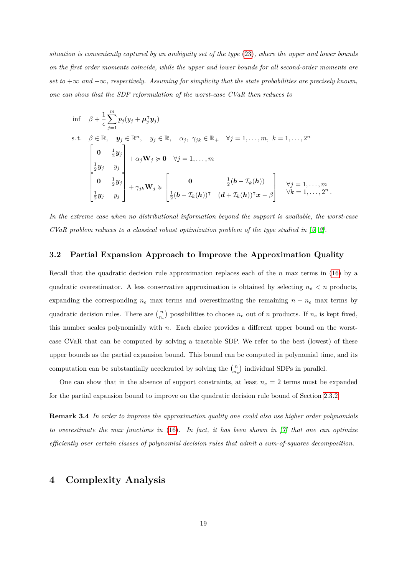*situation is conveniently captured by an ambiguity set of the type* [\(23\)](#page-16-1)*, where the upper and lower bounds on the first order moments coincide, while the upper and lower bounds for all second-order moments are set to* +∞ *and* −∞*, respectively. Assuming for simplicity that the state probabilities are precisely known, one can show that the SDP reformulation of the worst-case CVaR then reduces to*

$$
\inf \quad \beta + \frac{1}{\epsilon} \sum_{j=1}^{m} p_j (y_j + \mu_j^{\mathsf{T}} y_j)
$$
\n
$$
\text{s.t.} \quad \beta \in \mathbb{R}, \quad y_j \in \mathbb{R}^n, \quad y_j \in \mathbb{R}, \quad \alpha_j, \ \gamma_{jk} \in \mathbb{R}_+ \quad \forall j = 1, \dots, m, \ k = 1, \dots, 2^n
$$
\n
$$
\begin{bmatrix}\n\mathbf{0} & \frac{1}{2} y_j \\
\frac{1}{2} y_j & y_j \\
\mathbf{0} & \frac{1}{2} y_j\n\end{bmatrix} + \alpha_j \mathbf{W}_j \succcurlyeq \mathbf{0} \quad \forall j = 1, \dots, m
$$
\n
$$
\begin{bmatrix}\n\mathbf{0} & \frac{1}{2} (b - \mathcal{I}_k(h)) \\
\frac{1}{2} y_j & y_j\n\end{bmatrix} + \gamma_{jk} \mathbf{W}_j \succcurlyeq \begin{bmatrix}\n\mathbf{0} & \frac{1}{2} (b - \mathcal{I}_k(h)) \\
\frac{1}{2} (b - \mathcal{I}_k(h))^\mathsf{T} & (d + \mathcal{I}_k(h))^\mathsf{T} x - \beta\n\end{bmatrix} \quad \forall j = 1, \dots, m
$$

*In the extreme case when no distributional information beyond the support is available, the worst-case CVaR problem reduces to a classical robust optimization problem of the type studied in [\[5,](#page-27-4) [2\]](#page-27-6).* 

#### <span id="page-18-1"></span>**3.2 Partial Expansion Approach to Improve the Approximation Quality**

Recall that the quadratic decision rule approximation replaces each of the *n* max terms in [\(16\)](#page-10-3) by a quadratic overestimator. A less conservative approximation is obtained by selecting  $n_e < n$  products, expanding the corresponding  $n_e$  max terms and overestimating the remaining  $n - n_e$  max terms by quadratic decision rules. There are  $\binom{n}{n_e}$  possibilities to choose  $n_e$  out of *n* products. If  $n_e$  is kept fixed, this number scales polynomially with *n*. Each choice provides a different upper bound on the worstcase CVaR that can be computed by solving a tractable SDP. We refer to the best (lowest) of these upper bounds as the partial expansion bound. This bound can be computed in polynomial time, and its computation can be substantially accelerated by solving the  $\binom{n}{n_e}$  individual SDPs in parallel.

One can show that in the absence of support constraints, at least  $n_e = 2$  terms must be expanded for the partial expansion bound to improve on the quadratic decision rule bound of Section [2.3.2.](#page-12-2)

**Remark 3.4** *In order to improve the approximation quality one could also use higher order polynomials to overestimate the max functions in* [\(16\)](#page-10-3)*. In fact, it has been shown in [\[7\]](#page-27-7) that one can optimize efficiently over certain classes of polynomial decision rules that admit a sum-of-squares decomposition.*

## <span id="page-18-0"></span>**4 Complexity Analysis**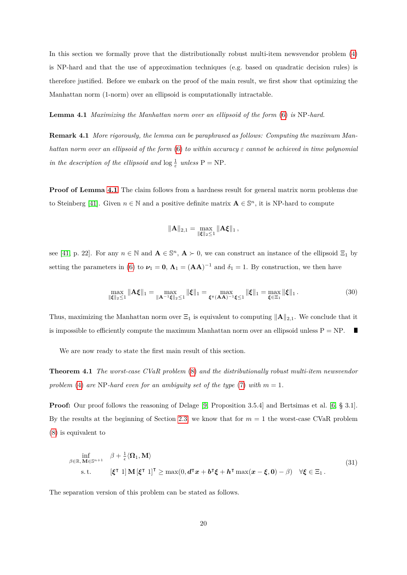In this section we formally prove that the distributionally robust multi-item newsvendor problem [\(4\)](#page-6-0) is NP-hard and that the use of approximation techniques (e.g. based on quadratic decision rules) is therefore justified. Before we embark on the proof of the main result, we first show that optimizing the Manhattan norm (1-norm) over an ellipsoid is computationally intractable.

<span id="page-19-0"></span>**Lemma 4.1** *Maximizing the Manhattan norm over an ellipsoid of the form* [\(6\)](#page-7-1) *is* NP*-hard.*

**Remark 4.1** *More rigorously, the lemma can be paraphrased as follows: Computing the maximum Manhattan norm over an ellipsoid of the form* [\(6\)](#page-7-1) *to within accuracy ε cannot be achieved in time polynomial in the description of the ellipsoid and*  $\log \frac{1}{\varepsilon}$  *unless*  $P = NP$ *.* 

**Proof of Lemma [4.1](#page-19-0)** The claim follows from a hardness result for general matrix norm problems due to Steinberg [\[41\]](#page-30-10). Given  $n \in \mathbb{N}$  and a positive definite matrix  $\mathbf{A} \in \mathbb{S}^n$ , it is NP-hard to compute

$$
\|{\bf A}\|_{2,1}=\max_{\|{\pmb \xi}\|_2\leq 1}\|{\bf A}{\pmb \xi}\|_1\,,
$$

see [\[41,](#page-30-10) p. 22]. For any  $n \in \mathbb{N}$  and  $\mathbf{A} \in \mathbb{S}^n$ ,  $\mathbf{A} \succ 0$ , we can construct an instance of the ellipsoid  $\Xi_1$  by setting the parameters in [\(6\)](#page-7-1) to  $\nu_1 = 0$ ,  $\Lambda_1 = (AA)^{-1}$  and  $\delta_1 = 1$ . By construction, we then have

$$
\max_{\|\xi\|_2 \le 1} \|\mathbf{A}\xi\|_1 = \max_{\|\mathbf{A}^{-1}\xi\|_2 \le 1} \|\xi\|_1 = \max_{\xi \in (\mathbf{A}\mathbf{A})^{-1}\xi \le 1} \|\xi\|_1 = \max_{\xi \in \Xi_1} \|\xi\|_1. \tag{30}
$$

Thus, maximizing the Manhattan norm over  $\Xi_1$  is equivalent to computing  $\|\mathbf{A}\|_{2,1}$ . We conclude that it is impossible to efficiently compute the maximum Manhattan norm over an ellipsoid unless  $P = NP$ . П

<span id="page-19-2"></span>We are now ready to state the first main result of this section.

**Theorem 4.1** *The worst-case CVaR problem* [\(8\)](#page-8-1) *and the distributionally robust multi-item newsvendor problem* [\(4\)](#page-6-0) *are* NP-hard even for an ambiguity set of the type [\(7\)](#page-7-0) with  $m = 1$ .

**Proof:** Our proof follows the reasoning of Delage [\[9,](#page-28-10) Proposition 3.5.4] and Bertsimas et al. [\[6,](#page-27-2) § 3.1]. By the results at the beginning of Section [2.3,](#page-8-0) we know that for *m* = 1 the worst-case CVaR problem [\(8\)](#page-8-1) is equivalent to

<span id="page-19-1"></span>
$$
\inf_{\beta \in \mathbb{R}, \mathbf{M} \in \mathbb{S}^{n+1}} \beta + \frac{1}{\epsilon} \langle \Omega_1, \mathbf{M} \rangle
$$
\ns.t. 
$$
[\xi^{\mathsf{T}} \ 1] \mathbf{M} [\xi^{\mathsf{T}} \ 1]^{\mathsf{T}} \ge \max(0, d^{\mathsf{T}} x + b^{\mathsf{T}} \xi + h^{\mathsf{T}} \max(x - \xi, 0) - \beta) \quad \forall \xi \in \Xi_1.
$$
\n(31)

The separation version of this problem can be stated as follows.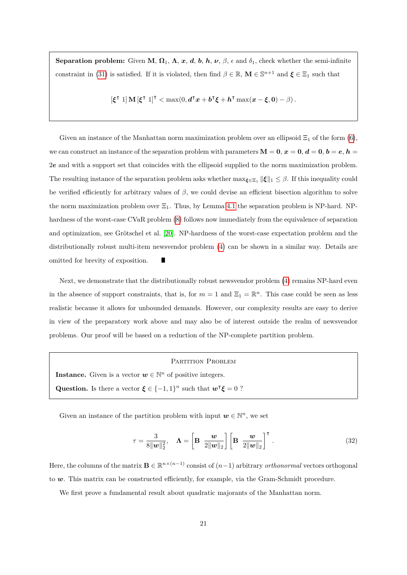**Separation problem:** Given **M**,  $\Omega_1$ ,  $\Lambda$ ,  $x$ ,  $d$ ,  $b$ ,  $h$ ,  $\nu$ ,  $\beta$ ,  $\epsilon$  and  $\delta_1$ , check whether the semi-infinite constraint in [\(31\)](#page-19-1) is satisfied. If it is violated, then find  $\beta \in \mathbb{R}$ ,  $\mathbf{M} \in \mathbb{S}^{n+1}$  and  $\boldsymbol{\xi} \in \Xi_1$  such that

$$
[\xi^{\intercal} \ 1] \mathbf{M} [\xi^{\intercal} \ 1]^{\intercal} < \max(0, \mathbf{d}^{\intercal} \mathbf{x} + \mathbf{b}^{\intercal} \xi + \mathbf{h}^{\intercal} \max(\mathbf{x} - \xi, 0) - \beta).
$$

Given an instance of the Manhattan norm maximization problem over an ellipsoid  $\Xi_1$  of the form [\(6\)](#page-7-1), we can construct an instance of the separation problem with parameters  $M = 0, x = 0, d = 0, b = e, h =$ 2e and with a support set that coincides with the ellipsoid supplied to the norm maximization problem. The resulting instance of the separation problem asks whether  $\max_{\xi \in \Xi_1} ||\xi||_1 \leq \beta$ . If this inequality could be verified efficiently for arbitrary values of *β*, we could devise an efficient bisection algorithm to solve the norm maximization problem over  $\Xi_1$ . Thus, by Lemma [4.1](#page-19-0) the separation problem is NP-hard. NPhardness of the worst-case CVaR problem [\(8\)](#page-8-1) follows now immediately from the equivalence of separation and optimization, see Grötschel et al. [\[20\]](#page-28-11). NP-hardness of the worst-case expectation problem and the distributionally robust multi-item newsvendor problem [\(4\)](#page-6-0) can be shown in a similar way. Details are omitted for brevity of exposition. П

Next, we demonstrate that the distributionally robust newsvendor problem [\(4\)](#page-6-0) remains NP-hard even in the absence of support constraints, that is, for  $m = 1$  and  $\Xi_1 = \mathbb{R}^n$ . This case could be seen as less realistic because it allows for unbounded demands. However, our complexity results are easy to derive in view of the preparatory work above and may also be of interest outside the realm of newsvendor problems. Our proof will be based on a reduction of the NP-complete partition problem.

#### <span id="page-20-1"></span>PARTITION PROBLEM

**Instance.** Given is a vector  $w \in \mathbb{N}^n$  of positive integers. **Question.** Is there a vector  $\xi \in \{-1, 1\}^n$  such that  $\mathbf{w}^\intercal \xi = 0$  ?

Given an instance of the partition problem with input  $w \in \mathbb{N}^n$ , we set

$$
\tau = \frac{3}{8\|\mathbf{w}\|_2^2}, \quad \mathbf{\Lambda} = \left[\mathbf{B} \ \frac{\mathbf{w}}{2\|\mathbf{w}\|_2}\right] \left[\mathbf{B} \ \frac{\mathbf{w}}{2\|\mathbf{w}\|_2}\right]^\mathsf{T} . \tag{32}
$$

Here, the columns of the matrix  $\mathbf{B} \in \mathbb{R}^{n \times (n-1)}$  consist of  $(n-1)$  arbitrary *orthonormal* vectors orthogonal to  $w$ . This matrix can be constructed efficiently, for example, via the Gram-Schmidt procedure.

<span id="page-20-0"></span>We first prove a fundamental result about quadratic majorants of the Manhattan norm.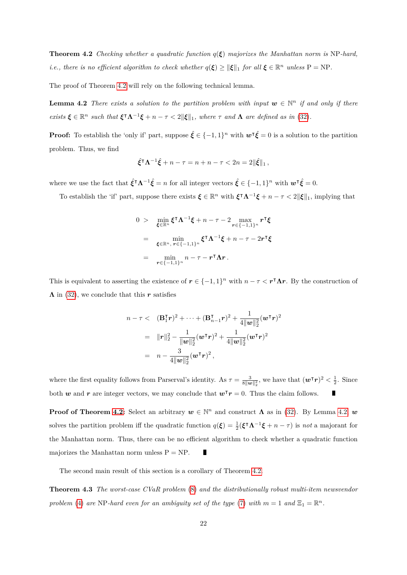**Theorem 4.2** *Checking whether a quadratic function*  $q(\xi)$  *majorizes the Manhattan norm is* NP-hard, *i.e., there is no efficient algorithm to check whether*  $q(\xi) \geq ||\xi||_1$  *for all*  $\xi \in \mathbb{R}^n$  *unless*  $P = NP$ *.* 

The proof of Theorem [4.2](#page-20-0) will rely on the following technical lemma.

**Lemma 4.2** *There exists a solution to the partition problem with input*  $w \in \mathbb{N}^n$  *if and only if there*  $\forall x$  *exists*  $\xi \in \mathbb{R}^n$  *such that*  $\xi^{\dagger} \Lambda^{-1} \xi + n - \tau \leq 2 \|\xi\|_1$ *, where*  $\tau$  *and*  $\Lambda$  *are defined as in* [\(32\)](#page-20-1)*.* 

**Proof:** To establish the 'only if' part, suppose  $\hat{\xi} \in \{-1,1\}^n$  with  $\mathbf{w}^{\intercal} \hat{\xi} = 0$  is a solution to the partition problem. Thus, we find

<span id="page-21-0"></span>
$$
\hat{\xi}^\mathsf{T} \Lambda^{-1} \hat{\xi} + n - \tau = n + n - \tau < 2n = 2\|\hat{\xi}\|_1,
$$

where we use the fact that  $\hat{\xi}^{\dagger} \Lambda^{-1} \hat{\xi} = n$  for all integer vectors  $\hat{\xi} \in \{-1,1\}^n$  with  $w^{\dagger} \hat{\xi} = 0$ .

To establish the 'if' part, suppose there exists  $\xi \in \mathbb{R}^n$  with  $\xi^{\dagger} \Lambda^{-1} \xi + n - \tau < 2 \|\xi\|_1$ , implying that

$$
0 > \min_{\xi \in \mathbb{R}^n} \xi^\mathsf{T} \Lambda^{-1} \xi + n - \tau - 2 \max_{\mathbf{r} \in \{-1,1\}^n} \mathbf{r}^\mathsf{T} \xi
$$
  
= 
$$
\min_{\xi \in \mathbb{R}^n, \ \mathbf{r} \in \{-1,1\}^n} \xi^\mathsf{T} \Lambda^{-1} \xi + n - \tau - 2 \mathbf{r}^\mathsf{T} \xi
$$
  
= 
$$
\min_{\mathbf{r} \in \{-1,1\}^n} n - \tau - \mathbf{r}^\mathsf{T} \Lambda \mathbf{r} .
$$

This is equivalent to asserting the existence of  $r \in \{-1,1\}^n$  with  $n - \tau < r^{\intercal} \Lambda r$ . By the construction of  $\Lambda$  in [\(32\)](#page-20-1), we conclude that this r satisfies

$$
n-\tau < (B_1^{\mathsf{T}}r)^2 + \cdots + (B_{n-1}^{\mathsf{T}}r)^2 + \frac{1}{4\|\mathbf{w}\|_2^2}(\mathbf{w}^{\mathsf{T}}r)^2
$$
  
=  $||r||_2^2 - \frac{1}{\|\mathbf{w}\|_2^2}(\mathbf{w}^{\mathsf{T}}r)^2 + \frac{1}{4\|\mathbf{w}\|_2^2}(\mathbf{w}^{\mathsf{T}}r)^2$   
=  $n - \frac{3}{4\|\mathbf{w}\|_2^2}(\mathbf{w}^{\mathsf{T}}r)^2$ ,

where the first equality follows from Parserval's identity. As  $\tau = \frac{3}{8||w||_2^2}$ , we have that  $(w^{\intercal}r)^2 < \frac{1}{2}$ . Since both w and r are integer vectors, we may conclude that  $w^{\dagger}r = 0$ . Thus the claim follows.

**Proof of Theorem [4.2:](#page-20-0)** Select an arbitrary  $w \in \mathbb{N}^n$  and construct  $\Lambda$  as in [\(32\)](#page-20-1). By Lemma [4.2,](#page-21-0) w solves the partition problem iff the quadratic function  $q(\xi) = \frac{1}{2}(\xi^{\dagger}\Lambda^{-1}\xi + n - \tau)$  is *not* a majorant for the Manhattan norm. Thus, there can be no efficient algorithm to check whether a quadratic function majorizes the Manhattan norm unless  $P = NP$ .

The second main result of this section is a corollary of Theorem [4.2.](#page-20-0)

**Theorem 4.3** *The worst-case CVaR problem* [\(8\)](#page-8-1) *and the distributionally robust multi-item newsvendor problem* [\(4\)](#page-6-0) *are* NP-hard even for an ambiguity set of the type [\(7\)](#page-7-0) with  $m = 1$  and  $\Xi_1 = \mathbb{R}^n$ .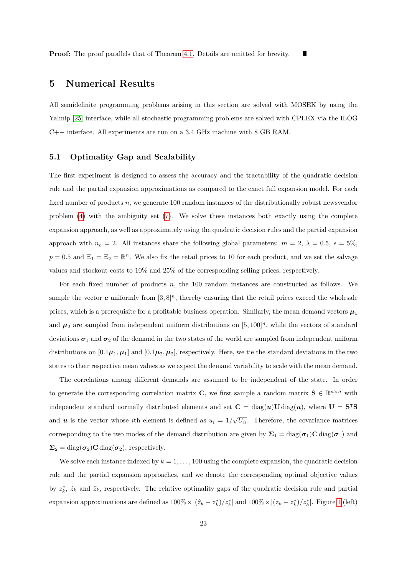## <span id="page-22-0"></span>**5 Numerical Results**

All semidefinite programming problems arising in this section are solved with MOSEK by using the Yalmip [\[25\]](#page-29-12) interface, while all stochastic programming problems are solved with CPLEX via the ILOG C++ interface. All experiments are run on a 3.4 GHz machine with 8 GB RAM.

### **5.1 Optimality Gap and Scalability**

The first experiment is designed to assess the accuracy and the tractability of the quadratic decision rule and the partial expansion approximations as compared to the exact full expansion model. For each fixed number of products *n*, we generate 100 random instances of the distributionally robust newsvendor problem  $(4)$  with the ambiguity set  $(7)$ . We solve these instances both exactly using the complete expansion approach, as well as approximately using the quadratic decision rules and the partial expansion approach with  $n_e = 2$ . All instances share the following global parameters:  $m = 2$ ,  $\lambda = 0.5$ ,  $\epsilon = 5\%$ ,  $p = 0.5$  and  $\Xi_1 = \Xi_2 = \mathbb{R}^n$ . We also fix the retail prices to 10 for each product, and we set the salvage values and stockout costs to 10% and 25% of the corresponding selling prices, respectively.

For each fixed number of products *n*, the 100 random instances are constructed as follows. We sample the vector c uniformly from  $[3, 8]^n$ , thereby ensuring that the retail prices exceed the wholesale prices, which is a prerequisite for a profitable business operation. Similarly, the mean demand vectors  $\mu_1$ and  $\mu_2$  are sampled from independent uniform distributions on  $[5, 100]^n$ , while the vectors of standard deviations  $\sigma_1$  and  $\sigma_2$  of the demand in the two states of the world are sampled from independent uniform distributions on  $[0.1\mu_1, \mu_1]$  and  $[0.1\mu_2, \mu_2]$ , respectively. Here, we tie the standard deviations in the two states to their respective mean values as we expect the demand variability to scale with the mean demand.

The correlations among different demands are assumed to be independent of the state. In order to generate the corresponding correlation matrix **C**, we first sample a random matrix  $S \in \mathbb{R}^{n \times n}$  with independent standard normally distributed elements and set  $\mathbf{C} = \text{diag}(\mathbf{u})\mathbf{U}\,\text{diag}(\mathbf{u})$ , where  $\mathbf{U} = \mathbf{S}^{\mathsf{T}}\mathbf{S}$ and *u* is the vector whose *i*th element is defined as  $u_i = 1/\sqrt{U_{ii}}$ . Therefore, the covariance matrices corresponding to the two modes of the demand distribution are given by  $\Sigma_1 = \text{diag}(\sigma_1)C \text{diag}(\sigma_1)$  and  $\Sigma_2 = \text{diag}(\boldsymbol{\sigma}_2) \mathbf{C} \text{diag}(\boldsymbol{\sigma}_2)$ , respectively.

We solve each instance indexed by  $k = 1, \ldots, 100$  using the complete expansion, the quadratic decision rule and the partial expansion approaches, and we denote the corresponding optimal objective values by  $z_k^*$ ,  $\hat{z}_k$  and  $\bar{z}_k$ , respectively. The relative optimality gaps of the quadratic decision rule and partial expansion approximations are defined as  $100\% \times |(z_k - z_k^*)/z_k^*|$  and  $100\% \times |(\bar{z}_k - z_k^*)/z_k^*|$ . Figure [1](#page-23-0) (left)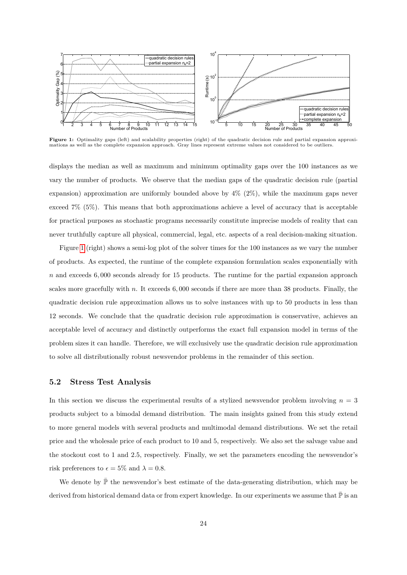<span id="page-23-0"></span>

Figure 1: Optimality gaps (left) and scalability properties (right) of the quadratic decision rule and partial expansion approximations as well as the complete expansion approach. Gray lines represent extreme values not considered to be outliers.

displays the median as well as maximum and minimum optimality gaps over the 100 instances as we vary the number of products. We observe that the median gaps of the quadratic decision rule (partial expansion) approximation are uniformly bounded above by  $4\%$  ( $2\%$ ), while the maximum gaps never exceed 7% (5%). This means that both approximations achieve a level of accuracy that is acceptable for practical purposes as stochastic programs necessarily constitute imprecise models of reality that can never truthfully capture all physical, commercial, legal, etc. aspects of a real decision-making situation.

Figure [1](#page-23-0) (right) shows a semi-log plot of the solver times for the 100 instances as we vary the number of products. As expected, the runtime of the complete expansion formulation scales exponentially with *n* and exceeds 6*,* 000 seconds already for 15 products. The runtime for the partial expansion approach scales more gracefully with *n*. It exceeds 6*,* 000 seconds if there are more than 38 products. Finally, the quadratic decision rule approximation allows us to solve instances with up to 50 products in less than 12 seconds. We conclude that the quadratic decision rule approximation is conservative, achieves an acceptable level of accuracy and distinctly outperforms the exact full expansion model in terms of the problem sizes it can handle. Therefore, we will exclusively use the quadratic decision rule approximation to solve all distributionally robust newsvendor problems in the remainder of this section.

#### **5.2 Stress Test Analysis**

In this section we discuss the experimental results of a stylized newsvendor problem involving  $n = 3$ products subject to a bimodal demand distribution. The main insights gained from this study extend to more general models with several products and multimodal demand distributions. We set the retail price and the wholesale price of each product to 10 and 5, respectively. We also set the salvage value and the stockout cost to 1 and 2.5, respectively. Finally, we set the parameters encoding the newsvendor's risk preferences to  $\epsilon = 5\%$  and  $\lambda = 0.8$ .

We denote by  $\bar{\mathbb{P}}$  the newsvendor's best estimate of the data-generating distribution, which may be derived from historical demand data or from expert knowledge. In our experiments we assume that  $\mathbb P$  is an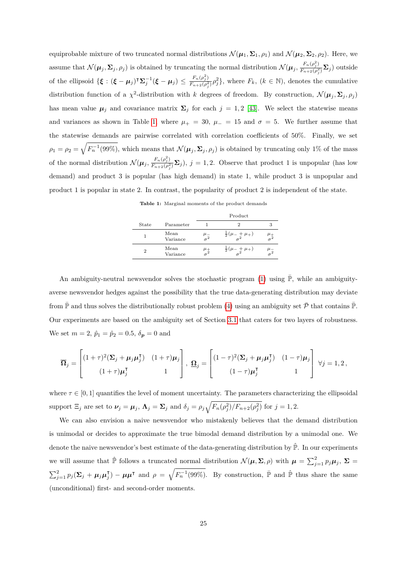equiprobable mixture of two truncated normal distributions  $\mathcal{N}(\mu_1, \Sigma_1, \rho_1)$  and  $\mathcal{N}(\mu_2, \Sigma_2, \rho_2)$ . Here, we assume that  $\mathcal{N}(\mu_j, \Sigma_j, \rho_j)$  is obtained by truncating the normal distribution  $\mathcal{N}(\mu_j, \frac{F_n(\rho_j^2)}{F_n(\rho_j^2)})$  $\frac{r_n(\rho_j)}{F_{n+2}(\rho_j^2)}\mathbf{\Sigma}_j$  ) outside of the ellipsoid  $\{\boldsymbol{\xi} : (\boldsymbol{\xi} - \boldsymbol{\mu}_j)^{\sf T} \boldsymbol{\Sigma}_j^{-1} (\boldsymbol{\xi} - \boldsymbol{\mu}_j) \le \frac{F_n(\rho_j^2)}{F_{n+2}(\rho_j^2)}\}$  $\frac{F_n(\rho_j^2)}{F_{n+2}(\rho_j^2)}\rho_j^2$ , where  $F_k$ ,  $(k \in \mathbb{N})$ , denotes the cumulative distribution function of a  $\chi^2$ -distribution with *k* degrees of freedom. By construction,  $\mathcal{N}(\mu_j, \Sigma_j, \rho_j)$ has mean value  $\mu_j$  and covariance matrix  $\Sigma_j$  for each  $j = 1, 2$  [\[43\]](#page-30-11). We select the statewise means and variances as shown in Table [1,](#page-24-0) where  $\mu_{+} = 30$ ,  $\mu_{-} = 15$  and  $\sigma = 5$ . We further assume that the statewise demands are pairwise correlated with correlation coefficients of 50%. Finally, we set  $\rho_1 = \rho_2 = \sqrt{F_n^{-1}(99\%)}$ , which means that  $\mathcal{N}(\mu_j, \Sigma_j, \rho_j)$  is obtained by truncating only 1% of the mass of the normal distribution  $\mathcal{N}(\boldsymbol{\mu}_j, \frac{F_n(\rho_j^2)}{F_n \cdot \rho_j(\rho_j^2)})$  $\frac{F_n(\rho_j)}{F_{n+2}(\rho_j^2)}\Sigma_j$ ),  $j=1,2$ . Observe that product 1 is unpopular (has low demand) and product 3 is popular (has high demand) in state 1, while product 3 is unpopular and product 1 is popular in state 2. In contrast, the popularity of product 2 is independent of the state.

**Table 1:** Marginal moments of the product demands

|       |                  |                        | Product                             |  |
|-------|------------------|------------------------|-------------------------------------|--|
| State | Parameter        |                        |                                     |  |
|       | Mean<br>Variance | $\frac{\mu}{\sigma^2}$ | $rac{1}{2}(\mu_{-}+\mu_{+})$        |  |
|       | Mean<br>Variance | $\mu_+$                | $rac{1}{2}(\mu - \frac{1}{2}\mu +)$ |  |

<span id="page-24-0"></span>An ambiguity-neutral newsvendor solves the stochastic program [\(1\)](#page-5-0) using  $\overline{P}$ , while an ambiguityaverse newsvendor hedges against the possibility that the true data-generating distribution may deviate from  $\bar{\mathbb{P}}$  and thus solves the distributionally robust problem [\(4\)](#page-6-0) using an ambiguity set  $\bar{\mathcal{P}}$  that contains  $\bar{\mathbb{P}}$ . Our experiments are based on the ambiguity set of Section [3.1](#page-15-0) that caters for two layers of robustness. We set  $m = 2$ ,  $\hat{p}_1 = \hat{p}_2 = 0.5$ ,  $\delta_{\mathbf{p}} = 0$  and

$$
\overline{\Omega}_j = \begin{bmatrix} (1+\tau)^2 (\Sigma_j + \mu_j \mu_j^{\mathsf{T}}) & (1+\tau)\mu_j \\ (1+\tau)\mu_j^{\mathsf{T}} & 1 \end{bmatrix}, \; \underline{\Omega}_j = \begin{bmatrix} (1-\tau)^2 (\Sigma_j + \mu_j \mu_j^{\mathsf{T}}) & (1-\tau)\mu_j \\ (1-\tau)\mu_j^{\mathsf{T}} & 1 \end{bmatrix} \; \forall j = 1, 2 \, ,
$$

where  $\tau \in [0, 1]$  quantifies the level of moment uncertainty. The parameters characterizing the ellipsoidal support  $\Xi_j$  are set to  $\nu_j = \mu_j$ ,  $\Lambda_j = \Sigma_j$  and  $\delta_j = \rho_j \sqrt{F_n(\rho_j^2)/F_{n+2}(\rho_j^2)}$  for  $j = 1, 2$ .

We can also envision a naive newsvendor who mistakenly believes that the demand distribution is unimodal or decides to approximate the true bimodal demand distribution by a unimodal one. We denote the naive newsvendor's best estimate of the data-generating distribution by  $\hat{\mathbb{P}}$ . In our experiments we will assume that  $\hat{P}$  follows a truncated normal distribution  $\mathcal{N}(\mu, \Sigma, \rho)$  with  $\mu = \sum_{j=1}^{2} p_j \mu_j$ ,  $\Sigma =$  $\sum_{j=1}^2 p_j (\mathbf{\Sigma}_j + \boldsymbol{\mu}_j \boldsymbol{\mu}_j^{\intercal})$  $\hat{J}_j$  –  $\mu\mu^{\dagger}$  and  $\rho = \sqrt{F_n^{-1}(99\%)}$ . By construction,  $\bar{\mathbb{P}}$  and  $\hat{\mathbb{P}}$  thus share the same (unconditional) first- and second-order moments.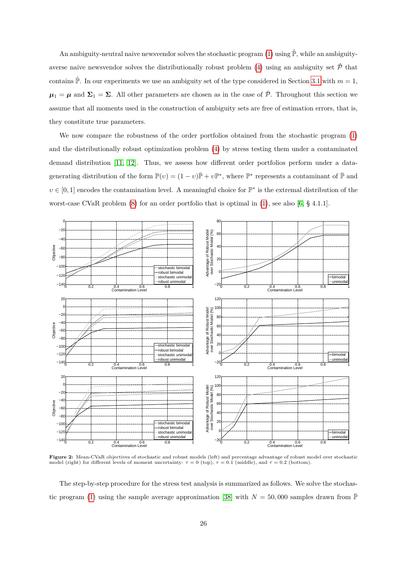An ambiguity-neutral naive newsvendor solves the stochastic program [\(1\)](#page-5-0) using  $\hat{P}$ , while an ambiguity-averse naive newsvendor solves the distributionally robust problem [\(4\)](#page-6-0) using an ambiguity set  $\hat{\mathcal{P}}$  that contains  $\hat{P}$ . In our experiments we use an ambiguity set of the type considered in Section [3.1](#page-15-0) with  $m = 1$ ,  $\mu_1 = \mu$  and  $\Sigma_1 = \Sigma$ . All other parameters are chosen as in the case of  $\bar{\mathcal{P}}$ . Throughout this section we assume that all moments used in the construction of ambiguity sets are free of estimation errors, that is, they constitute true parameters.

We now compare the robustness of the order portfolios obtained from the stochastic program  $(1)$ and the distributionally robust optimization problem [\(4\)](#page-6-0) by stress testing them under a contaminated demand distribution [\[11,](#page-28-12) [12\]](#page-28-13). Thus, we assess how different order portfolios perform under a datagenerating distribution of the form  $\mathbb{P}(v) = (1 - v)\overline{\mathbb{P}} + v\mathbb{P}^*$ , where  $\mathbb{P}^*$  represents a contaminant of  $\overline{\mathbb{P}}$  and  $v \in [0,1]$  encodes the contamination level. A meaningful choice for  $\mathbb{P}^*$  is the extremal distribution of the worst-case CVaR problem [\(8\)](#page-8-1) for an order portfolio that is optimal in [\(1\)](#page-5-0), see also [\[6,](#page-27-2) § 4.1.1].

<span id="page-25-0"></span>

**Figure 2:** Mean-CVaR objectives of stochastic and robust models (left) and percentage advantage of robust model over stochastic model (right) for different levels of moment uncertainty:  $\tau = 0$  (top),  $\tau = 0.1$  (middle), and  $\tau = 0.2$  (bottom).

The step-by-step procedure for the stress test analysis is summarized as follows. We solve the stochas-tic program [\(1\)](#page-5-0) using the sample average approximation [\[38\]](#page-30-12) with  $N = 50,000$  samples drawn from  $\overline{P}$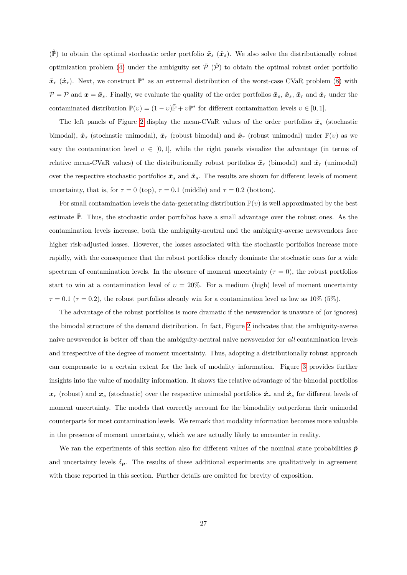$(\hat{\mathbb{P}})$  to obtain the optimal stochastic order portfolio  $\bar{x}_s$   $(\hat{x}_s)$ . We also solve the distributionally robust optimization problem [\(4\)](#page-6-0) under the ambiguity set  $\bar{\mathcal{P}}$  ( $\hat{\mathcal{P}}$ ) to obtain the optimal robust order portfolio  $\bar{x}_r$  ( $\hat{x}_r$ ). Next, we construct  $\mathbb{P}^*$  as an extremal distribution of the worst-case CVaR problem [\(8\)](#page-8-1) with  $\mathcal{P} = \bar{\mathcal{P}}$  and  $\mathbf{x} = \bar{\mathbf{x}}_s$ . Finally, we evaluate the quality of the order portfolios  $\bar{\mathbf{x}}_s$ ,  $\hat{\mathbf{x}}_s$ ,  $\bar{\mathbf{x}}_r$  and  $\hat{\mathbf{x}}_r$  under the contaminated distribution  $\mathbb{P}(v) = (1 - v)\overline{\mathbb{P}} + v\mathbb{P}^*$  for different contamination levels  $v \in [0, 1]$ .

The left panels of Figure [2](#page-25-0) display the mean-CVaR values of the order portfolios  $\bar{x}_s$  (stochastic bimodal),  $\hat{\boldsymbol{x}}_s$  (stochastic unimodal),  $\bar{\boldsymbol{x}}_r$  (robust bimodal) and  $\hat{\boldsymbol{x}}_r$  (robust unimodal) under  $\mathbb{P}(v)$  as we vary the contamination level  $v \in [0, 1]$ , while the right panels visualize the advantage (in terms of relative mean-CVaR values) of the distributionally robust portfolios  $\bar{x}_r$  (bimodal) and  $\hat{x}_r$  (unimodal) over the respective stochastic portfolios  $\bar{x}_s$  and  $\hat{x}_s$ . The results are shown for different levels of moment uncertainty, that is, for  $\tau = 0$  (top),  $\tau = 0.1$  (middle) and  $\tau = 0.2$  (bottom).

For small contamination levels the data-generating distribution  $\mathbb{P}(v)$  is well approximated by the best estimate  $\overline{P}$ . Thus, the stochastic order portfolios have a small advantage over the robust ones. As the contamination levels increase, both the ambiguity-neutral and the ambiguity-averse newsvendors face higher risk-adjusted losses. However, the losses associated with the stochastic portfolios increase more rapidly, with the consequence that the robust portfolios clearly dominate the stochastic ones for a wide spectrum of contamination levels. In the absence of moment uncertainty  $(\tau = 0)$ , the robust portfolios start to win at a contamination level of  $v = 20\%$ . For a medium (high) level of moment uncertainty  $\tau = 0.1$  ( $\tau = 0.2$ ), the robust portfolios already win for a contamination level as low as 10% (5%).

The advantage of the robust portfolios is more dramatic if the newsvendor is unaware of (or ignores) the bimodal structure of the demand distribution. In fact, Figure [2](#page-25-0) indicates that the ambiguity-averse naive newsvendor is better off than the ambiguity-neutral naive newsvendor for *all* contamination levels and irrespective of the degree of moment uncertainty. Thus, adopting a distributionally robust approach can compensate to a certain extent for the lack of modality information. Figure [3](#page-27-8) provides further insights into the value of modality information. It shows the relative advantage of the bimodal portfolios  $\bar{x}_r$  (robust) and  $\bar{x}_s$  (stochastic) over the respective unimodal portfolios  $\hat{x}_r$  and  $\hat{x}_s$  for different levels of moment uncertainty. The models that correctly account for the bimodality outperform their unimodal counterparts for most contamination levels. We remark that modality information becomes more valuable in the presence of moment uncertainty, which we are actually likely to encounter in reality.

We ran the experiments of this section also for different values of the nominal state probabilities  $\hat{p}$ and uncertainty levels  $\delta_p$ . The results of these additional experiments are qualitatively in agreement with those reported in this section. Further details are omitted for brevity of exposition.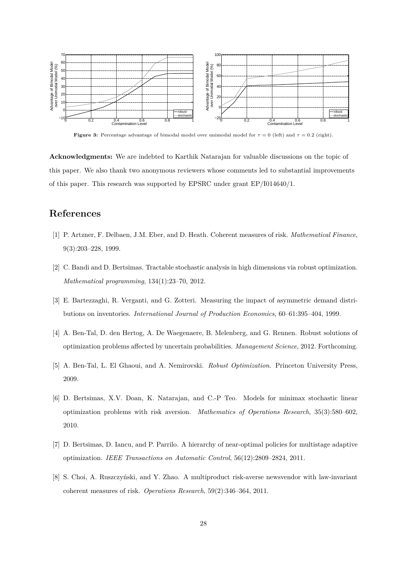<span id="page-27-8"></span>

**Figure 3:** Percentage advantage of bimodal model over unimodal model for  $\tau = 0$  (left) and  $\tau = 0.2$  (right).

**Acknowledgments:** We are indebted to Karthik Natarajan for valuable discussions on the topic of this paper. We also thank two anonymous reviewers whose comments led to substantial improvements of this paper. This research was supported by EPSRC under grant EP/I014640/1.

## <span id="page-27-3"></span>**References**

- [1] P. Artzner, F. Delbaen, J.M. Eber, and D. Heath. Coherent measures of risk. *Mathematical Finance*, 9(3):203–228, 1999.
- <span id="page-27-6"></span>[2] C. Bandi and D. Bertsimas. Tractable stochastic analysis in high dimensions via robust optimization. *Mathematical programming*, 134(1):23–70, 2012.
- <span id="page-27-1"></span>[3] E. Bartezzaghi, R. Verganti, and G. Zotteri. Measuring the impact of asymmetric demand distributions on inventories. *International Journal of Production Economics*, 60–61:395–404, 1999.
- <span id="page-27-5"></span>[4] A. Ben-Tal, D. den Hertog, A. De Waegenaere, B. Melenberg, and G. Rennen. Robust solutions of optimization problems affected by uncertain probabilities. *Management Science*, 2012. Forthcoming.
- <span id="page-27-4"></span>[5] A. Ben-Tal, L. El Ghaoui, and A. Nemirovski. *Robust Optimization*. Princeton University Press, 2009.
- <span id="page-27-2"></span>[6] D. Bertsimas, X.V. Doan, K. Natarajan, and C.-P Teo. Models for minimax stochastic linear optimization problems with risk aversion. *Mathematics of Operations Research*, 35(3):580–602, 2010.
- <span id="page-27-7"></span>[7] D. Bertsimas, D. Iancu, and P. Parrilo. A hierarchy of near-optimal policies for multistage adaptive optimization. *IEEE Transactions on Automatic Control*, 56(12):2809–2824, 2011.
- <span id="page-27-0"></span>[8] S. Choi, A. Ruszczyński, and Y. Zhao. A multiproduct risk-averse newsvendor with law-invariant coherent measures of risk. *Operations Research*, 59(2):346–364, 2011.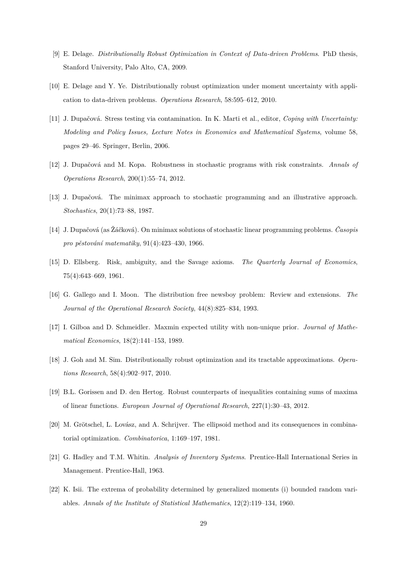- <span id="page-28-10"></span>[9] E. Delage. *Distributionally Robust Optimization in Context of Data-driven Problems*. PhD thesis, Stanford University, Palo Alto, CA, 2009.
- <span id="page-28-6"></span>[10] E. Delage and Y. Ye. Distributionally robust optimization under moment uncertainty with application to data-driven problems. *Operations Research*, 58:595–612, 2010.
- <span id="page-28-12"></span>[11] J. Dupačová. Stress testing via contamination. In K. Marti et al., editor, *Coping with Uncertainty: Modeling and Policy Issues, Lecture Notes in Economics and Mathematical Systems*, volume 58, pages 29–46. Springer, Berlin, 2006.
- <span id="page-28-13"></span>[12] J. Dupačová and M. Kopa. Robustness in stochastic programs with risk constraints. *Annals of Operations Research*, 200(1):55–74, 2012.
- <span id="page-28-5"></span>[13] J. Dupačová. The minimax approach to stochastic programming and an illustrative approach. *Stochastics*, 20(1):73–88, 1987.
- <span id="page-28-4"></span>[14] J. Dupačová (as Žáčková). On minimax solutions of stochastic linear programming problems. *Časopis pro pěstování matematiky*, 91(4):423–430, 1966.
- <span id="page-28-1"></span>[15] D. Ellsberg. Risk, ambiguity, and the Savage axioms. *The Quarterly Journal of Economics*, 75(4):643–669, 1961.
- <span id="page-28-3"></span>[16] G. Gallego and I. Moon. The distribution free newsboy problem: Review and extensions. *The Journal of the Operational Research Society*, 44(8):825–834, 1993.
- <span id="page-28-2"></span>[17] I. Gilboa and D. Schmeidler. Maxmin expected utility with non-unique prior. *Journal of Mathematical Economics*, 18(2):141–153, 1989.
- <span id="page-28-9"></span>[18] J. Goh and M. Sim. Distributionally robust optimization and its tractable approximations. *Operations Research*, 58(4):902–917, 2010.
- <span id="page-28-8"></span>[19] B.L. Gorissen and D. den Hertog. Robust counterparts of inequalities containing sums of maxima of linear functions. *European Journal of Operational Research*, 227(1):30–43, 2012.
- <span id="page-28-11"></span>[20] M. Grötschel, L. Lovász, and A. Schrijver. The ellipsoid method and its consequences in combinatorial optimization. *Combinatorica*, 1:169–197, 1981.
- <span id="page-28-0"></span>[21] G. Hadley and T.M. Whitin. *Analysis of Inventory Systems*. Prentice-Hall International Series in Management. Prentice-Hall, 1963.
- <span id="page-28-7"></span>[22] K. Isii. The extrema of probability determined by generalized moments (i) bounded random variables. *Annals of the Institute of Statistical Mathematics*, 12(2):119–134, 1960.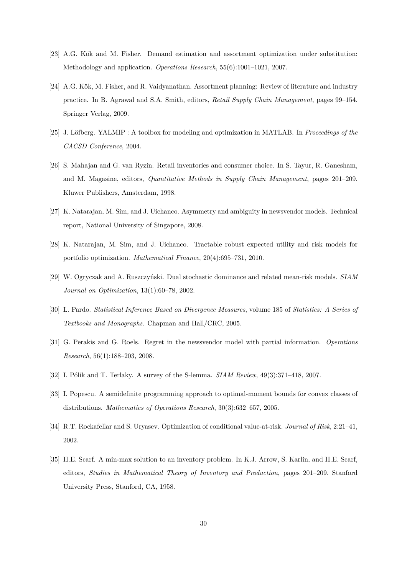- <span id="page-29-2"></span>[23] A.G. Kök and M. Fisher. Demand estimation and assortment optimization under substitution: Methodology and application. *Operations Research*, 55(6):1001–1021, 2007.
- <span id="page-29-0"></span>[24] A.G. Kök, M. Fisher, and R. Vaidyanathan. Assortment planning: Review of literature and industry practice. In B. Agrawal and S.A. Smith, editors, *Retail Supply Chain Management*, pages 99–154. Springer Verlag, 2009.
- <span id="page-29-12"></span>[25] J. Löfberg. YALMIP : A toolbox for modeling and optimization in MATLAB. In *Proceedings of the CACSD Conference*, 2004.
- <span id="page-29-1"></span>[26] S. Mahajan and G. van Ryzin. Retail inventories and consumer choice. In S. Tayur, R. Ganesham, and M. Magasine, editors, *Quantitative Methods in Supply Chain Management*, pages 201–209. Kluwer Publishers, Amsterdam, 1998.
- <span id="page-29-5"></span>[27] K. Natarajan, M. Sim, and J. Uichanco. Asymmetry and ambiguity in newsvendor models. Technical report, National University of Singapore, 2008.
- <span id="page-29-10"></span>[28] K. Natarajan, M. Sim, and J. Uichanco. Tractable robust expected utility and risk models for portfolio optimization. *Mathematical Finance*, 20(4):695–731, 2010.
- <span id="page-29-6"></span>[29] W. Ogryczak and A. Ruszczyński. Dual stochastic dominance and related mean-risk models. *SIAM Journal on Optimization*, 13(1):60–78, 2002.
- <span id="page-29-11"></span>[30] L. Pardo. *Statistical Inference Based on Divergence Measures*, volume 185 of *Statistics: A Series of Textbooks and Monographs*. Chapman and Hall/CRC, 2005.
- <span id="page-29-4"></span>[31] G. Perakis and G. Roels. Regret in the newsvendor model with partial information. *Operations Research*, 56(1):188–203, 2008.
- <span id="page-29-9"></span><span id="page-29-8"></span>[32] I. Pólik and T. Terlaky. A survey of the S-lemma. *SIAM Review*, 49(3):371–418, 2007.
- [33] I. Popescu. A semidefinite programming approach to optimal-moment bounds for convex classes of distributions. *Mathematics of Operations Research*, 30(3):632–657, 2005.
- <span id="page-29-7"></span>[34] R.T. Rockafellar and S. Uryasev. Optimization of conditional value-at-risk. *Journal of Risk*, 2:21–41, 2002.
- <span id="page-29-3"></span>[35] H.E. Scarf. A min-max solution to an inventory problem. In K.J. Arrow, S. Karlin, and H.E. Scarf, editors, *Studies in Mathematical Theory of Inventory and Production*, pages 201–209. Stanford University Press, Stanford, CA, 1958.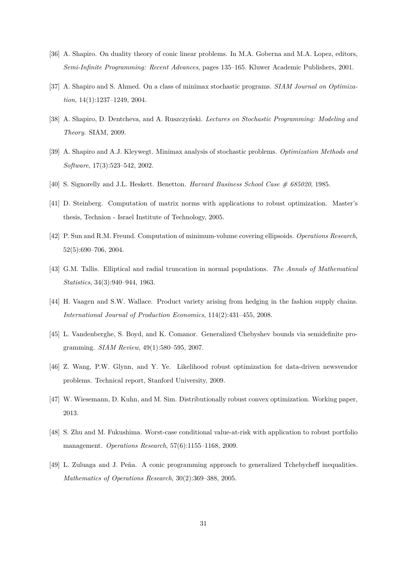- <span id="page-30-7"></span>[36] A. Shapiro. On duality theory of conic linear problems. In M.A. Goberna and M.A. Lopez, editors, *Semi-Infinite Programming: Recent Advances*, pages 135–165. Kluwer Academic Publishers, 2001.
- <span id="page-30-3"></span>[37] A. Shapiro and S. Ahmed. On a class of minimax stochastic programs. *SIAM Journal on Optimization*, 14(1):1237–1249, 2004.
- <span id="page-30-12"></span>[38] A. Shapiro, D. Dentcheva, and A. Ruszczyński. *Lectures on Stochastic Programming: Modeling and Theory*. SIAM, 2009.
- <span id="page-30-6"></span>[39] A. Shapiro and A.J. Kleywegt. Minimax analysis of stochastic problems. *Optimization Methods and Software*, 17(3):523–542, 2002.
- <span id="page-30-10"></span><span id="page-30-1"></span>[40] S. Signorelly and J.L. Heskett. Benetton. *Harvard Business School Case # 685020*, 1985.
- [41] D. Steinberg. Computation of matrix norms with applications to robust optimization. Master's thesis, Technion - Israel Institute of Technology, 2005.
- <span id="page-30-5"></span>[42] P. Sun and R.M. Freund. Computation of minimum-volume covering ellipsoids. *Operations Research*, 52(5):690–706, 2004.
- <span id="page-30-11"></span>[43] G.M. Tallis. Elliptical and radial truncation in normal populations. *The Annals of Mathematical Statistics*, 34(3):940–944, 1963.
- <span id="page-30-0"></span>[44] H. Vaagen and S.W. Wallace. Product variety arising from hedging in the fashion supply chains. *International Journal of Production Economics*, 114(2):431–455, 2008.
- <span id="page-30-13"></span>[45] L. Vandenberghe, S. Boyd, and K. Comanor. Generalized Chebyshev bounds via semidefinite programming. *SIAM Review*, 49(1):580–595, 2007.
- <span id="page-30-2"></span>[46] Z. Wang, P.W. Glynn, and Y. Ye. Likelihood robust optimization for data-driven newsvendor problems. Technical report, Stanford University, 2009.
- <span id="page-30-9"></span>[47] W. Wiesemann, D. Kuhn, and M. Sim. Distributionally robust convex optimization. Working paper, 2013.
- <span id="page-30-4"></span>[48] S. Zhu and M. Fukushima. Worst-case conditional value-at-risk with application to robust portfolio management. *Operations Research*, 57(6):1155–1168, 2009.
- <span id="page-30-8"></span>[49] L. Zuluaga and J. Peña. A conic programming approach to generalized Tchebycheff inequalities. *Mathematics of Operations Research*, 30(2):369–388, 2005.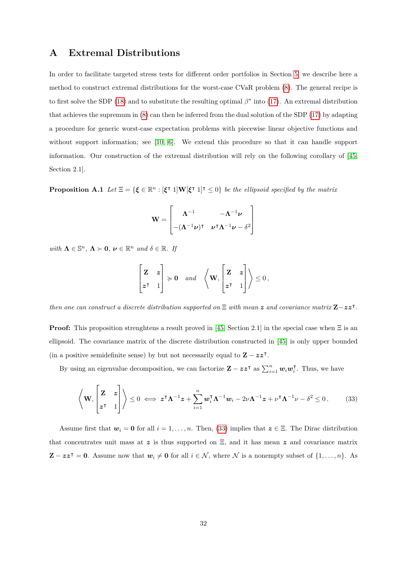## <span id="page-31-0"></span>**A Extremal Distributions**

In order to facilitate targeted stress tests for different order portfolios in Section [5,](#page-22-0) we describe here a method to construct extremal distributions for the worst-case CVaR problem [\(8\)](#page-8-1). The general recipe is to first solve the SDP [\(18\)](#page-12-0) and to substitute the resulting optimal  $\beta^*$  into [\(17\)](#page-11-0). An extremal distribution that achieves the supremum in [\(8\)](#page-8-1) can then be inferred from the dual solution of the SDP [\(17\)](#page-11-0) by adapting a procedure for generic worst-case expectation problems with piecewise linear objective functions and without support information; see [\[10,](#page-28-6) [6\]](#page-27-2). We extend this procedure so that it can handle support information. Our construction of the extremal distribution will rely on the following corollary of [\[45,](#page-30-13) Section 2.1].

<span id="page-31-2"></span>**Proposition A.1** *Let*  $\Xi = \{ \xi \in \mathbb{R}^n : [\xi^\intercal 1] \mathbf{W} [\xi^\intercal 1]^\intercal \leq 0 \}$  *be the ellipsoid specified by the matrix* 

$$
\mathbf{W} = \begin{bmatrix} \Lambda^{-1} & -\Lambda^{-1}\nu \\ -(\Lambda^{-1}\nu)^{\mathsf{T}} & \nu^{\mathsf{T}}\Lambda^{-1}\nu - \delta^2 \end{bmatrix}
$$

*with*  $\Lambda \in \mathbb{S}^n$ ,  $\Lambda \succ 0$ ,  $\nu \in \mathbb{R}^n$  and  $\delta \in \mathbb{R}$ . If

<span id="page-31-1"></span>
$$
\begin{bmatrix} z & z \\ z^{\intercal} & 1 \end{bmatrix} \succcurlyeq 0 \quad and \quad \left\langle \mathbf{W}, \begin{bmatrix} z & z \\ z^{\intercal} & 1 \end{bmatrix} \right\rangle \leq 0,
$$

*then one can construct a discrete distribution supported on*  $\Xi$  *with mean* z and covariance matrix  $\mathbf{Z}-zz^{\mathsf{T}}$ .

**Proof:** This proposition strenghtens a result proved in [\[45,](#page-30-13) Section 2.1] in the special case when  $\Xi$  is an ellipsoid. The covariance matrix of the discrete distribution constructed in [\[45\]](#page-30-13) is only upper bounded (in a positive semidefinite sense) by but not necessarily equal to  $\mathbf{Z} - zz^{\mathsf{T}}$ .

By using an eigenvalue decomposition, we can factorize  $\mathbf{Z} - zz^{\mathsf{T}}$  as  $\sum_{i=1}^{n} w_i w_i^{\mathsf{T}}$  $\overline{i}$ . Thus, we have

$$
\left\langle \mathbf{W}, \begin{bmatrix} \mathbf{Z} & \mathbf{z} \\ \mathbf{z}^{\mathsf{T}} & 1 \end{bmatrix} \right\rangle \leq 0 \iff \mathbf{z}^{\mathsf{T}} \mathbf{\Lambda}^{-1} \mathbf{z} + \sum_{i=1}^{n} \mathbf{w}_i^{\mathsf{T}} \mathbf{\Lambda}^{-1} \mathbf{w}_i - 2 \nu \mathbf{\Lambda}^{-1} \mathbf{z} + \nu^{\mathsf{T}} \mathbf{\Lambda}^{-1} \nu - \delta^2 \leq 0. \tag{33}
$$

Assume first that  $w_i = 0$  for all  $i = 1, \ldots, n$ . Then, [\(33\)](#page-31-1) implies that  $z \in \Xi$ . The Dirac distribution that concentrates unit mass at z is thus supported on  $\Xi$ , and it has mean z and covariance matrix  $\mathbf{Z} - z z^{\mathsf{T}} = \mathbf{0}$ . Assume now that  $\mathbf{w}_i \neq \mathbf{0}$  for all  $i \in \mathcal{N}$ , where  $\mathcal{N}$  is a nonempty subset of  $\{1, \ldots, n\}$ . As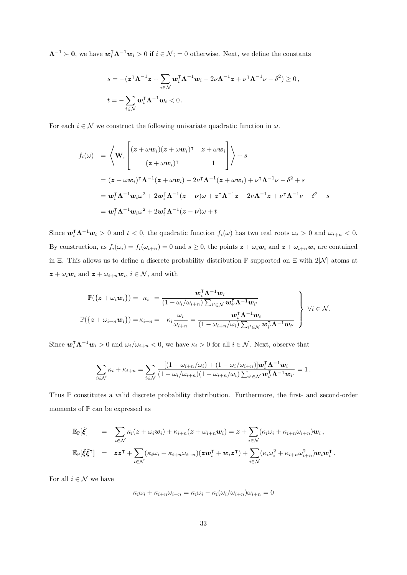$\Lambda^{-1} \succ 0$ , we have  $w_i^{\mathsf{T}} \Lambda^{-1} w_i > 0$  if  $i \in \mathcal{N}$ ; = 0 otherwise. Next, we define the constants

$$
s = -(\mathbf{z}^\mathsf{T} \boldsymbol{\Lambda}^{-1} \mathbf{z} + \sum_{i \in \mathcal{N}} \boldsymbol{w}_i^\mathsf{T} \boldsymbol{\Lambda}^{-1} \boldsymbol{w}_i - 2\nu \boldsymbol{\Lambda}^{-1} \mathbf{z} + \nu^\mathsf{T} \boldsymbol{\Lambda}^{-1} \nu - \delta^2) \ge 0,
$$
  

$$
t = -\sum_{i \in \mathcal{N}} \boldsymbol{w}_i^\mathsf{T} \boldsymbol{\Lambda}^{-1} \boldsymbol{w}_i < 0.
$$

For each  $i \in \mathcal{N}$  we construct the following univariate quadratic function in  $\omega$ .

$$
f_i(\omega) = \left\langle \mathbf{W}, \begin{bmatrix} (z + \omega \mathbf{w}_i)(z + \omega \mathbf{w}_i)^{\mathsf{T}} & z + \omega \mathbf{w}_i \\ (z + \omega \mathbf{w}_i)^{\mathsf{T}} & 1 \end{bmatrix} \right\rangle + s
$$
  
=  $(z + \omega \mathbf{w}_i)^{\mathsf{T}} \Lambda^{-1} (z + \omega \mathbf{w}_i) - 2\nu^{\mathsf{T}} \Lambda^{-1} (z + \omega \mathbf{w}_i) + \nu^{\mathsf{T}} \Lambda^{-1} \nu - \delta^2 + s$   
=  $\mathbf{w}_i^{\mathsf{T}} \Lambda^{-1} \mathbf{w}_i \omega^2 + 2\mathbf{w}_i^{\mathsf{T}} \Lambda^{-1} (z - \nu) \omega + z^{\mathsf{T}} \Lambda^{-1} z - 2\nu \Lambda^{-1} z + \nu^{\mathsf{T}} \Lambda^{-1} \nu - \delta^2 + s$   
=  $\mathbf{w}_i^{\mathsf{T}} \Lambda^{-1} \mathbf{w}_i \omega^2 + 2\mathbf{w}_i^{\mathsf{T}} \Lambda^{-1} (z - \nu) \omega + t$ 

Since  $\mathbf{w}_i^{\mathsf{T}} \mathbf{\Lambda}^{-1} \mathbf{w}_i > 0$  and  $t < 0$ , the quadratic function  $f_i(\omega)$  has two real roots  $\omega_i > 0$  and  $\omega_{i+n} < 0$ . By construction, as  $f_i(\omega_i) = f_i(\omega_{i+n}) = 0$  and  $s \ge 0$ , the points  $z + \omega_i \mathbf{w}_i$  and  $z + \omega_{i+n} \mathbf{w}_i$  are contained in Ξ. This allows us to define a discrete probability distribution  $\mathbb P$  supported on Ξ with 2|N| atoms at  $\mathbf{z} + \omega_i \mathbf{w}_i$  and  $\mathbf{z} + \omega_{i+n} \mathbf{w}_i$ ,  $i \in \mathcal{N}$ , and with

$$
\mathbb{P}(\{z+\omega_i\mathbf{w}_i\}) = \kappa_i = \frac{\mathbf{w}_i^{\mathsf{T}}\mathbf{\Lambda}^{-1}\mathbf{w}_i}{(1-\omega_i/\omega_{i+n})\sum_{i'\in\mathcal{N}}\mathbf{w}_{i'}^{\mathsf{T}}\mathbf{\Lambda}^{-1}\mathbf{w}_{i'}}\n\mathbb{P}(\{z+\omega_{i+n}\mathbf{w}_i\}) = \kappa_{i+n} = -\kappa_i \frac{\omega_i}{\omega_{i+n}} = \frac{\mathbf{w}_i^{\mathsf{T}}\mathbf{\Lambda}^{-1}\mathbf{w}_i}{(1-\omega_{i+n}/\omega_i)\sum_{i'\in\mathcal{N}}\mathbf{w}_{i'}^{\mathsf{T}}\mathbf{\Lambda}^{-1}\mathbf{w}_{i'}}\n\qquad \qquad \left\{\n\begin{array}{c}\n\forall i \in \mathcal{N}.\n\end{array}\n\right.
$$

Since  $w_i^{\mathsf{T}} \Lambda^{-1} w_i > 0$  and  $\omega_i/\omega_{i+n} < 0$ , we have  $\kappa_i > 0$  for all  $i \in \mathcal{N}$ . Next, observe that

$$
\sum_{i\in\mathcal{N}}\kappa_i+\kappa_{i+n}=\sum_{i\in\mathcal{N}}\frac{[(1-\omega_{i+n}/\omega_i)+(1-\omega_i/\omega_{i+n})]\mathbf{w}_i^{\mathsf{T}}\mathbf{\Lambda}^{-1}\mathbf{w}_i}{(1-\omega_i/\omega_{i+n})(1-\omega_{i+n}/\omega_i)\sum_{i'\in\mathcal{N}}\mathbf{w}_{i'}^{\mathsf{T}}\mathbf{\Lambda}^{-1}\mathbf{w}_{i'}}=1.
$$

Thus P constitutes a valid discrete probability distribution. Furthermore, the first- and second-order moments of  ${\mathbb P}$  can be expressed as

$$
\mathbb{E}_{\mathbb{P}}[\tilde{\xi}] = \sum_{i \in \mathcal{N}} \kappa_i (z + \omega_i w_i) + \kappa_{i+n} (z + \omega_{i+n} w_i) = z + \sum_{i \in \mathcal{N}} (\kappa_i \omega_i + \kappa_{i+n} \omega_{i+n}) w_i ,
$$
  

$$
\mathbb{E}_{\mathbb{P}}[\tilde{\xi} \tilde{\xi}^{\mathsf{T}}] = z z^{\mathsf{T}} + \sum_{i \in \mathcal{N}} (\kappa_i \omega_i + \kappa_{i+n} \omega_{i+n}) (z w_i^{\mathsf{T}} + w_i z^{\mathsf{T}}) + \sum_{i \in \mathcal{N}} (\kappa_i \omega_i^2 + \kappa_{i+n} \omega_{i+n}^2) w_i w_i^{\mathsf{T}}.
$$

For all  $i \in \mathcal{N}$  we have

$$
\kappa_i \omega_i + \kappa_{i+n} \omega_{i+n} = \kappa_i \omega_i - \kappa_i (\omega_i/\omega_{i+n}) \omega_{i+n} = 0
$$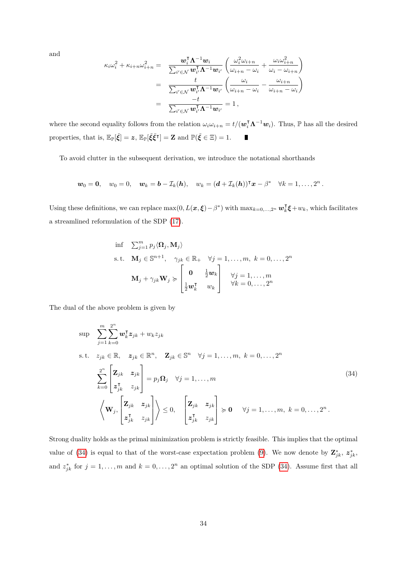and

$$
\kappa_i \omega_i^2 + \kappa_{i+n} \omega_{i+n}^2 = \frac{\mathbf{w}_i^{\mathsf{T}} \mathbf{\Lambda}^{-1} \mathbf{w}_i}{\sum_{i' \in \mathcal{N}} \mathbf{w}_{i'}^{\mathsf{T}} \mathbf{\Lambda}^{-1} \mathbf{w}_{i'}} \left( \frac{\omega_i^2 \omega_{i+n}}{\omega_{i+n} - \omega_i} + \frac{\omega_i \omega_{i+n}^2}{\omega_i - \omega_{i+n}} \right)
$$
  

$$
= \frac{t}{\sum_{i' \in \mathcal{N}} \mathbf{w}_{i'}^{\mathsf{T}} \mathbf{\Lambda}^{-1} \mathbf{w}_{i'}} \left( \frac{\omega_i}{\omega_{i+n} - \omega_i} - \frac{\omega_{i+n}}{\omega_{i+n} - \omega_i} \right)
$$
  

$$
= \frac{-t}{\sum_{i' \in \mathcal{N}} \mathbf{w}_{i'}^{\mathsf{T}} \mathbf{\Lambda}^{-1} \mathbf{w}_{i'}} = 1,
$$

where the second equality follows from the relation  $\omega_i \omega_{i+n} = t/(\mathbf{w}_i^{\mathsf{T}} \mathbf{\Lambda}^{-1} \mathbf{w}_i)$ . Thus,  $\mathbb P$  has all the desired properties, that is,  $\mathbb{E}_{\mathbb{P}}[\tilde{\xi}] = z$ ,  $\mathbb{E}_{\mathbb{P}}[\tilde{\xi}\tilde{\xi}^{\dagger}] = \mathbb{Z}$  and  $\mathbb{P}(\tilde{\xi} \in \Xi) = 1$ . П

To avoid clutter in the subsequent derivation, we introduce the notational shorthands

$$
\mathbf{w}_0 = \mathbf{0}, \quad w_0 = 0, \quad \mathbf{w}_k = \mathbf{b} - \mathcal{I}_k(\mathbf{h}), \quad w_k = (\mathbf{d} + \mathcal{I}_k(\mathbf{h}))^{\mathsf{T}} \mathbf{x} - \beta^* \quad \forall k = 1, \ldots, 2^n.
$$

Using these definitions, we can replace  $\max(0, L(\boldsymbol{x}, \boldsymbol{\xi}) - \beta^*)$  with  $\max_{k=0,\dots,2^n} \boldsymbol{w}_k^{\text{T}}$  $\mathbf{k}^{\mathsf{T}}\boldsymbol{\xi}$  +  $w_k$ , which facilitates a streamlined reformulation of the SDP [\(17\)](#page-11-0).

<span id="page-33-0"></span>
$$
\begin{aligned}\n\inf \quad & \sum_{j=1}^{m} p_j \langle \mathbf{\Omega}_j, \mathbf{M}_j \rangle \\
\text{s.t.} \quad & \mathbf{M}_j \in \mathbb{S}^{n+1}, \quad \gamma_{jk} \in \mathbb{R}_+ \quad \forall j = 1, \dots, m, \ k = 0, \dots, 2^n \\
& \mathbf{M}_j + \gamma_{jk} \mathbf{W}_j \succcurlyeq \begin{bmatrix}\n\mathbf{0} & \frac{1}{2} \mathbf{w}_k \\
\frac{1}{2} \mathbf{w}_k^{\mathsf{T}} & w_k\n\end{bmatrix} \quad \forall j = 1, \dots, m \\
& \forall k = 0, \dots, 2^n\n\end{aligned}
$$

The dual of the above problem is given by

$$
\sup_{j=1} \sum_{k=0}^{m} \sum_{k=0}^{2^{n}} \mathbf{w}_{k}^{\mathsf{T}} z_{jk} + w_{k} z_{jk}
$$
\n
$$
\text{s.t.} \quad z_{jk} \in \mathbb{R}, \quad z_{jk} \in \mathbb{R}^{n}, \quad \mathbf{Z}_{jk} \in \mathbb{S}^{n} \quad \forall j = 1, ..., m, \ k = 0, ..., 2^{n}
$$
\n
$$
\sum_{k=0}^{2^{n}} \begin{bmatrix} \mathbf{Z}_{jk} & z_{jk} \\ z_{jk}^{\mathsf{T}} & z_{jk} \end{bmatrix} = p_{j} \mathbf{\Omega}_{j} \quad \forall j = 1, ..., m
$$
\n
$$
\left\langle \mathbf{W}_{j}, \begin{bmatrix} \mathbf{Z}_{jk} & z_{jk} \\ z_{jk}^{\mathsf{T}} & z_{jk} \end{bmatrix} \right\rangle \leq 0, \quad \begin{bmatrix} \mathbf{Z}_{jk} & z_{jk} \\ z_{jk}^{\mathsf{T}} & z_{jk} \end{bmatrix} \succcurlyeq \mathbf{0} \quad \forall j = 1, ..., m, \ k = 0, ..., 2^{n}.
$$
\n
$$
(34)
$$

Strong duality holds as the primal minimization problem is strictly feasible. This implies that the optimal value of [\(34\)](#page-33-0) is equal to that of the worst-case expectation problem [\(9\)](#page-9-0). We now denote by  $\mathbf{Z}_{jk}^*$ ,  $z_{jk}^*$ , and  $z_{jk}^*$  for  $j = 1, \ldots, m$  and  $k = 0, \ldots, 2^n$  an optimal solution of the SDP [\(34\)](#page-33-0). Assume first that all